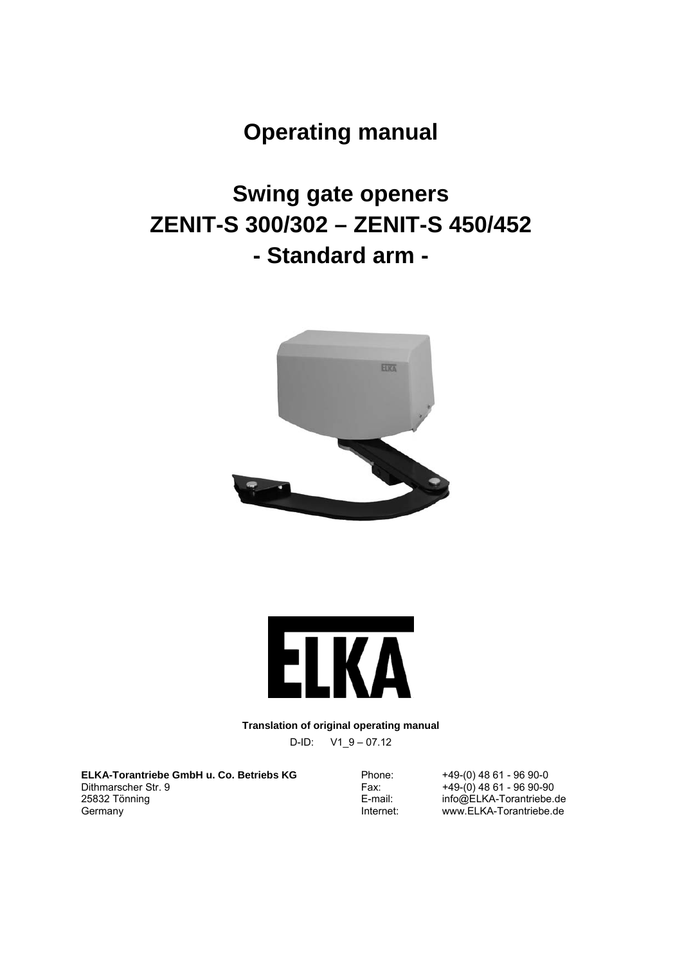# **Operating manual**

# **Swing gate openers ZENIT-S 300/302 – ZENIT-S 450/452 - Standard arm -**





**Translation of original operating manual** 

D-ID: V1\_9 – 07.12

**ELKA-Torantriebe GmbH u. Co. Betriebs KG**  Dithmarscher Str. 9 25832 Tönning Germany

Phone: +49-(0) 48 61 - 96 90-0<br>Fax: +49-(0) 48 61 - 96 90-90 Fax: +49-(0) 48 61 - 96 90-90 E-mail: info@ELKA-Torantriebe.de<br>
Internet: www.ELKA-Torantriebe.de www.ELKA-Torantriebe.de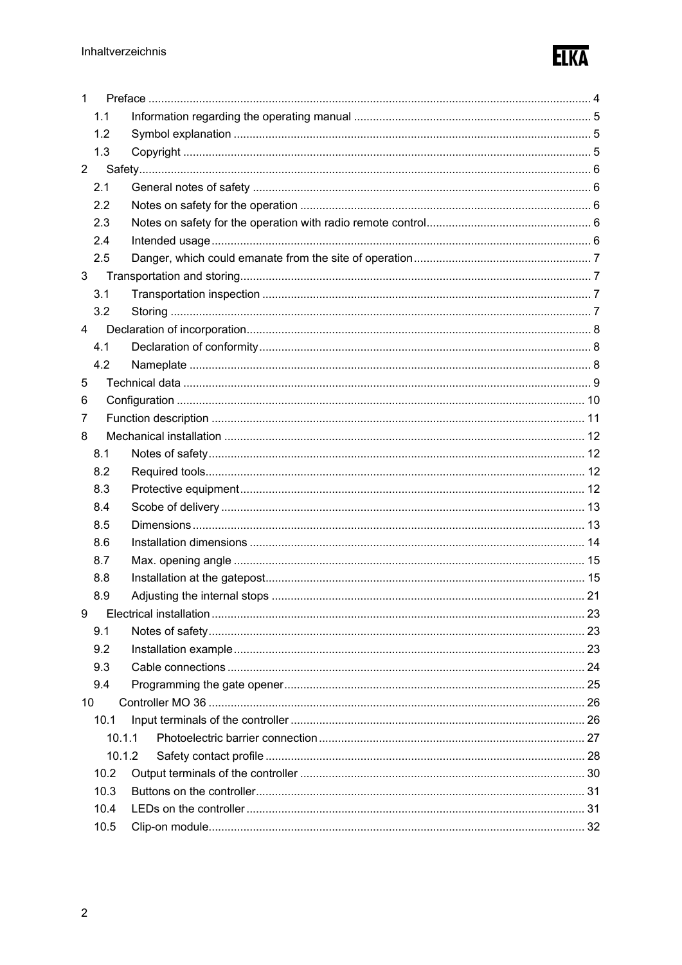

| $\mathbf{1}$   |        |  |
|----------------|--------|--|
|                | 1.1    |  |
|                | 1.2    |  |
|                | 1.3    |  |
| $\overline{2}$ |        |  |
|                | 2.1    |  |
|                | 2.2    |  |
|                | 2.3    |  |
|                | 2.4    |  |
|                | 2.5    |  |
| 3              |        |  |
|                | 3.1    |  |
|                | 3.2    |  |
| 4              |        |  |
|                | 4.1    |  |
|                | 4.2    |  |
| 5              |        |  |
| 6              |        |  |
| 7              |        |  |
| 8              |        |  |
|                | 8.1    |  |
|                | 8.2    |  |
|                | 8.3    |  |
|                | 8.4    |  |
|                | 8.5    |  |
|                | 8.6    |  |
|                | 8.7    |  |
|                | 8.8    |  |
|                | 8.9    |  |
| 9              |        |  |
|                | 9.1    |  |
|                | 9.2    |  |
|                | 9.3    |  |
|                | 9.4    |  |
| 10             |        |  |
|                |        |  |
|                | 10.1   |  |
|                | 10.1.1 |  |
|                | 10.1.2 |  |
|                | 10.2   |  |
|                | 10.3   |  |
|                | 10.4   |  |
|                | 10.5   |  |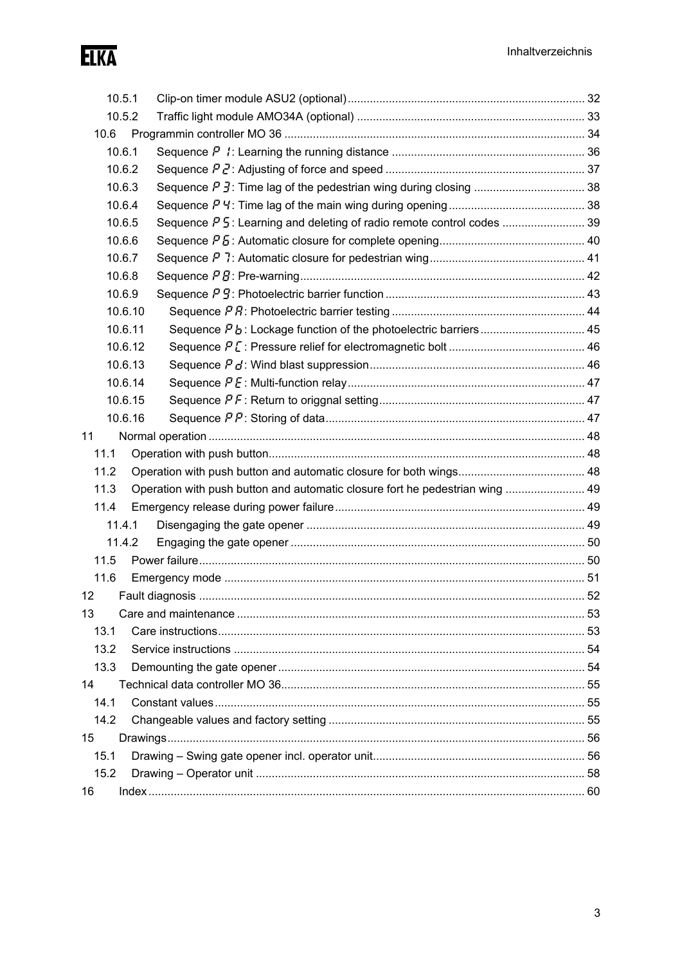Elka

|      | 10.5.1  |                                                                              |  |
|------|---------|------------------------------------------------------------------------------|--|
|      | 10.5.2  |                                                                              |  |
| 10.6 |         |                                                                              |  |
|      | 10.6.1  |                                                                              |  |
|      | 10.6.2  |                                                                              |  |
|      | 10.6.3  |                                                                              |  |
|      | 10.6.4  |                                                                              |  |
|      | 10.6.5  |                                                                              |  |
|      | 10.6.6  |                                                                              |  |
|      | 10.6.7  |                                                                              |  |
|      | 10.6.8  |                                                                              |  |
|      | 10.6.9  |                                                                              |  |
|      | 10.6.10 |                                                                              |  |
|      | 10.6.11 |                                                                              |  |
|      | 10.6.12 |                                                                              |  |
|      | 10.6.13 |                                                                              |  |
|      | 10.6.14 |                                                                              |  |
|      | 10.6.15 |                                                                              |  |
|      | 10.6.16 |                                                                              |  |
| 11   |         |                                                                              |  |
| 11.1 |         |                                                                              |  |
| 11.2 |         |                                                                              |  |
| 11.3 |         | Operation with push button and automatic closure fort he pedestrian wing  49 |  |
| 11.4 |         |                                                                              |  |
|      | 11.4.1  |                                                                              |  |
|      | 11.4.2  |                                                                              |  |
| 11.5 |         |                                                                              |  |
| 11.6 |         |                                                                              |  |
| 12   |         |                                                                              |  |
| 13   |         |                                                                              |  |
| 13.1 |         |                                                                              |  |
| 13.2 |         |                                                                              |  |
| 13.3 |         |                                                                              |  |
| 14   |         |                                                                              |  |
| 14.1 |         |                                                                              |  |
| 14.2 |         |                                                                              |  |
| 15   |         |                                                                              |  |
| 15.1 |         |                                                                              |  |
| 15.2 |         |                                                                              |  |
| 16   |         |                                                                              |  |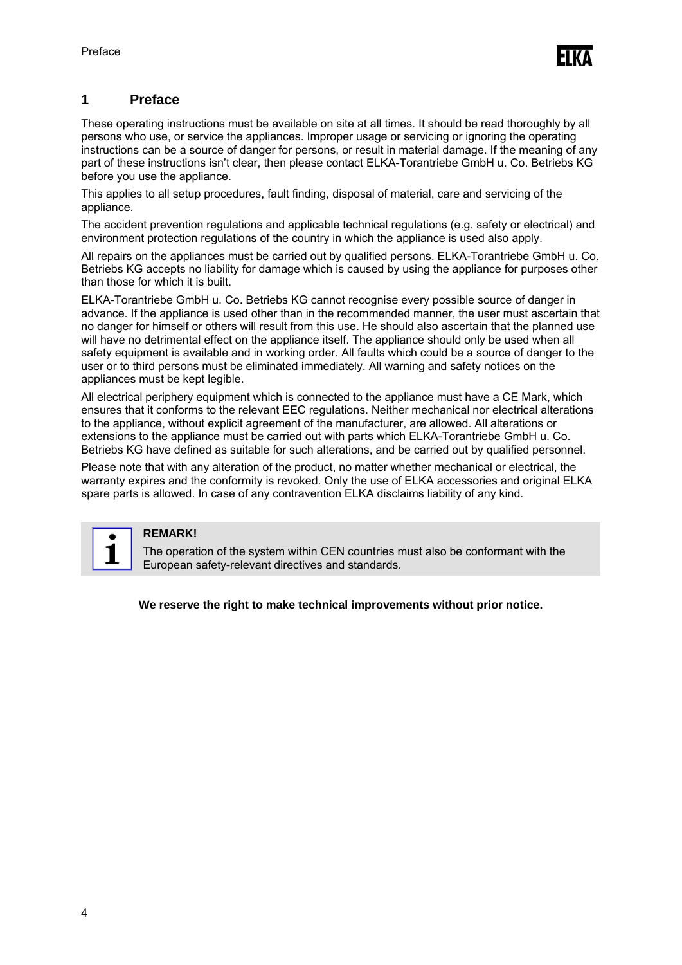### **1 Preface**

These operating instructions must be available on site at all times. It should be read thoroughly by all persons who use, or service the appliances. Improper usage or servicing or ignoring the operating instructions can be a source of danger for persons, or result in material damage. If the meaning of any part of these instructions isn't clear, then please contact ELKA-Torantriebe GmbH u. Co. Betriebs KG before you use the appliance.

This applies to all setup procedures, fault finding, disposal of material, care and servicing of the appliance.

The accident prevention regulations and applicable technical regulations (e.g. safety or electrical) and environment protection regulations of the country in which the appliance is used also apply.

All repairs on the appliances must be carried out by qualified persons. ELKA-Torantriebe GmbH u. Co. Betriebs KG accepts no liability for damage which is caused by using the appliance for purposes other than those for which it is built.

ELKA-Torantriebe GmbH u. Co. Betriebs KG cannot recognise every possible source of danger in advance. If the appliance is used other than in the recommended manner, the user must ascertain that no danger for himself or others will result from this use. He should also ascertain that the planned use will have no detrimental effect on the appliance itself. The appliance should only be used when all safety equipment is available and in working order. All faults which could be a source of danger to the user or to third persons must be eliminated immediately. All warning and safety notices on the appliances must be kept legible.

All electrical periphery equipment which is connected to the appliance must have a CE Mark, which ensures that it conforms to the relevant EEC regulations. Neither mechanical nor electrical alterations to the appliance, without explicit agreement of the manufacturer, are allowed. All alterations or extensions to the appliance must be carried out with parts which ELKA-Torantriebe GmbH u. Co. Betriebs KG have defined as suitable for such alterations, and be carried out by qualified personnel.

Please note that with any alteration of the product, no matter whether mechanical or electrical, the warranty expires and the conformity is revoked. Only the use of ELKA accessories and original ELKA spare parts is allowed. In case of any contravention ELKA disclaims liability of any kind.



#### **REMARK!**

The operation of the system within CEN countries must also be conformant with the European safety-relevant directives and standards.

**We reserve the right to make technical improvements without prior notice.**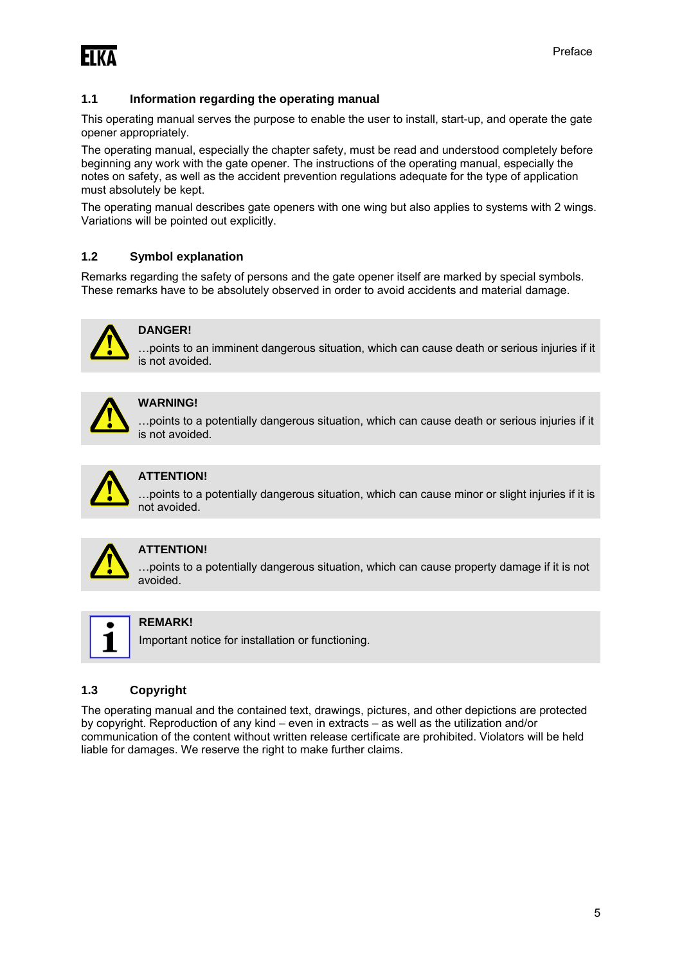**FIKA** 

#### **1.1 Information regarding the operating manual**

This operating manual serves the purpose to enable the user to install, start-up, and operate the gate opener appropriately.

The operating manual, especially the chapter safety, must be read and understood completely before beginning any work with the gate opener. The instructions of the operating manual, especially the notes on safety, as well as the accident prevention regulations adequate for the type of application must absolutely be kept.

The operating manual describes gate openers with one wing but also applies to systems with 2 wings. Variations will be pointed out explicitly.

#### **1.2 Symbol explanation**

Remarks regarding the safety of persons and the gate opener itself are marked by special symbols. These remarks have to be absolutely observed in order to avoid accidents and material damage.



#### **DANGER!**

…points to an imminent dangerous situation, which can cause death or serious injuries if it is not avoided.

#### **WARNING!**

…points to a potentially dangerous situation, which can cause death or serious injuries if it is not avoided.



#### **ATTENTION!**

…points to a potentially dangerous situation, which can cause minor or slight injuries if it is not avoided.



#### **ATTENTION!**

…points to a potentially dangerous situation, which can cause property damage if it is not avoided.



#### **REMARK!**

Important notice for installation or functioning.

#### **1.3 Copyright**

The operating manual and the contained text, drawings, pictures, and other depictions are protected by copyright. Reproduction of any kind – even in extracts – as well as the utilization and/or communication of the content without written release certificate are prohibited. Violators will be held liable for damages. We reserve the right to make further claims.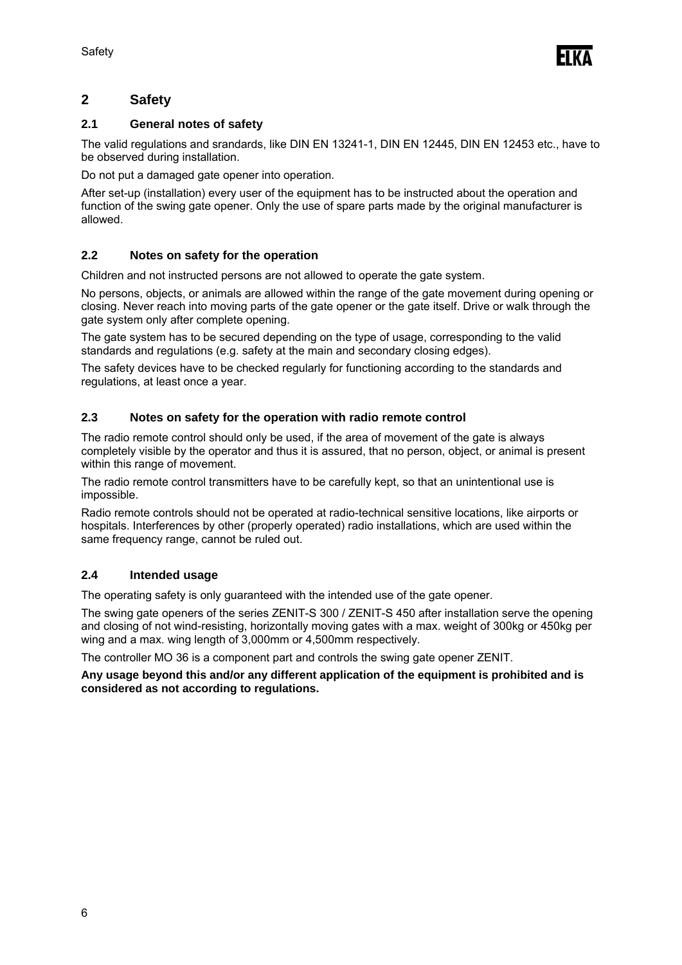

### **2 Safety**

#### **2.1 General notes of safety**

The valid regulations and srandards, like DIN EN 13241-1, DIN EN 12445, DIN EN 12453 etc., have to be observed during installation.

Do not put a damaged gate opener into operation.

After set-up (installation) every user of the equipment has to be instructed about the operation and function of the swing gate opener. Only the use of spare parts made by the original manufacturer is allowed.

#### **2.2 Notes on safety for the operation**

Children and not instructed persons are not allowed to operate the gate system.

No persons, objects, or animals are allowed within the range of the gate movement during opening or closing. Never reach into moving parts of the gate opener or the gate itself. Drive or walk through the gate system only after complete opening.

The gate system has to be secured depending on the type of usage, corresponding to the valid standards and regulations (e.g. safety at the main and secondary closing edges).

The safety devices have to be checked regularly for functioning according to the standards and regulations, at least once a year.

#### **2.3 Notes on safety for the operation with radio remote control**

The radio remote control should only be used, if the area of movement of the gate is always completely visible by the operator and thus it is assured, that no person, object, or animal is present within this range of movement.

The radio remote control transmitters have to be carefully kept, so that an unintentional use is impossible.

Radio remote controls should not be operated at radio-technical sensitive locations, like airports or hospitals. Interferences by other (properly operated) radio installations, which are used within the same frequency range, cannot be ruled out.

#### **2.4 Intended usage**

The operating safety is only guaranteed with the intended use of the gate opener.

The swing gate openers of the series ZENIT-S 300 / ZENIT-S 450 after installation serve the opening and closing of not wind-resisting, horizontally moving gates with a max. weight of 300kg or 450kg per wing and a max. wing length of 3,000mm or 4,500mm respectively.

The controller MO 36 is a component part and controls the swing gate opener ZENIT.

**Any usage beyond this and/or any different application of the equipment is prohibited and is considered as not according to regulations.**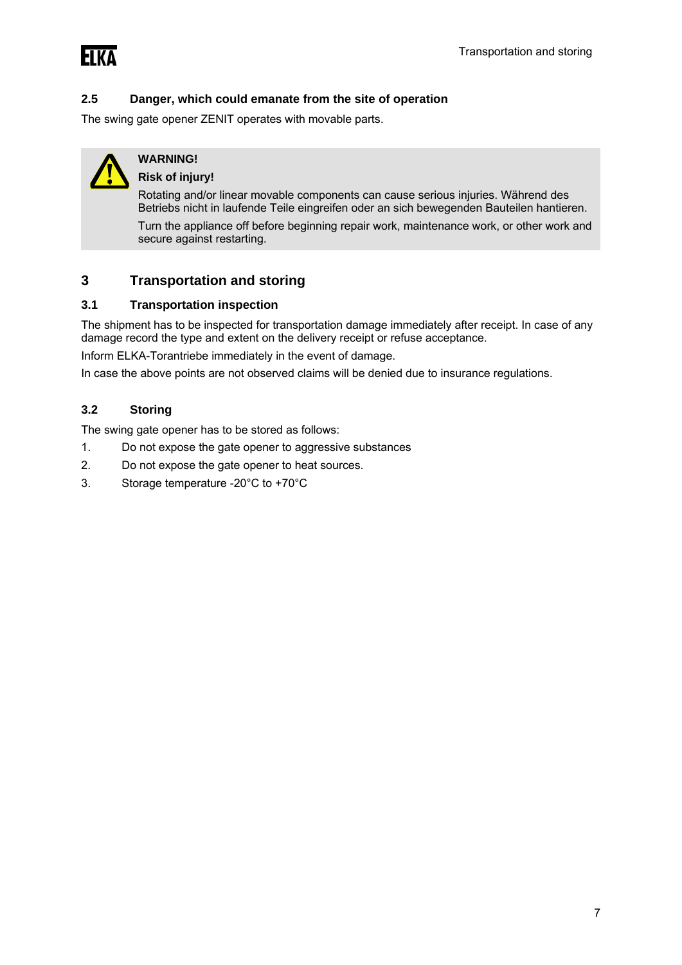#### **2.5 Danger, which could emanate from the site of operation**

The swing gate opener ZENIT operates with movable parts.



## **WARNING!**

#### **Risk of injury!**

Rotating and/or linear movable components can cause serious injuries. Während des Betriebs nicht in laufende Teile eingreifen oder an sich bewegenden Bauteilen hantieren.

Turn the appliance off before beginning repair work, maintenance work, or other work and secure against restarting.

#### **3 Transportation and storing**

#### **3.1 Transportation inspection**

The shipment has to be inspected for transportation damage immediately after receipt. In case of any damage record the type and extent on the delivery receipt or refuse acceptance.

Inform ELKA-Torantriebe immediately in the event of damage.

In case the above points are not observed claims will be denied due to insurance regulations.

#### **3.2 Storing**

The swing gate opener has to be stored as follows:

- 1. Do not expose the gate opener to aggressive substances
- 2. Do not expose the gate opener to heat sources.
- 3. Storage temperature -20°C to +70°C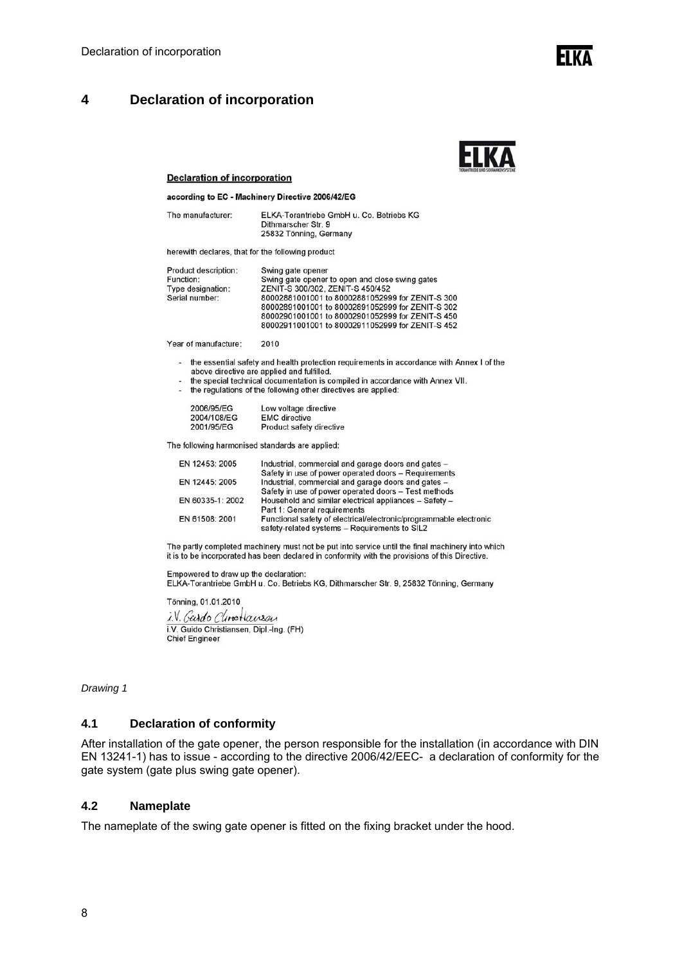### **4 Declaration of incorporation**



**FIKY** 

#### **Declaration of incorporation**

according to EC - Machinery Directive 2006/42/EG

| The manufacturer: | ELKA-Torantriebe GmbH u. Co. Betriebs KG |
|-------------------|------------------------------------------|
|                   | Dithmarscher Str. 9                      |
|                   | 25832 Tönning, Germany                   |

herewith declares, that for the following product

| <b>Product description:</b> | Swing gate opener                                |
|-----------------------------|--------------------------------------------------|
| Function:                   | Swing gate opener to open and close swing gates  |
| Type designation:           | ZENIT-S 300/302, ZENIT-S 450/452                 |
| Serial number:              | 80002881001001 to 80002881052999 for ZENIT-S 300 |
|                             | 80002891001001 to 80002891052999 for ZENIT-S 302 |
|                             | 80002901001001 to 80002901052999 for ZENIT-S 450 |
|                             | 80002911001001 to 80002911052999 for ZENIT-S 452 |
|                             |                                                  |

Year of manufacture: 2010

- the essential safety and health protection requirements in accordance with Annex I of the a. above directive are applied and fulfilled.<br>the special technical documentation is compiled in accordance with Annex VII.
- $\overline{a}$
- the regulations of the following other directives are applied:

| 2006/95/EG  | Low voltage directive    |
|-------------|--------------------------|
| 2004/108/EG | <b>EMC</b> directive     |
| 2001/95/EG  | Product safety directive |

The following harmonised standards are applied:

| EN 12453: 2005   | Industrial, commercial and garage doors and gates -                                                                 |
|------------------|---------------------------------------------------------------------------------------------------------------------|
|                  | Safety in use of power operated doors - Requirements                                                                |
| EN 12445: 2005   | Industrial, commercial and garage doors and gates -                                                                 |
|                  | Safety in use of power operated doors - Test methods                                                                |
| EN 60335-1: 2002 | Household and similar electrical appliances - Safety -                                                              |
|                  | Part 1: General requirements                                                                                        |
| EN 61508: 2001   | Functional safety of electrical/electronic/programmable electronic<br>safety-related systems - Requirements to SIL2 |

The partly completed machinery must not be put into service until the final machinery into which it is to be incorporated has been declared in conformity with the provisions of this Directive.

Empowered to draw up the declaration:<br>ELKA-Torantriebe GmbH u. Co. Betriebs KG, Dithmarscher Str. 9, 25832 Tönning, Germany

Tönning, 01.01.2010 i.V. Gardo Clinotausan A. V. *COARD CUMBRIQUABLA*<br>i.V. Guido Christiansen, Dipl.-Ing. (FH)<br>Chief Engineer

*Drawing 1* 

#### **4.1 Declaration of conformity**

After installation of the gate opener, the person responsible for the installation (in accordance with DIN EN 13241-1) has to issue - according to the directive 2006/42/EEC- a declaration of conformity for the gate system (gate plus swing gate opener).

#### **4.2 Nameplate**

The nameplate of the swing gate opener is fitted on the fixing bracket under the hood.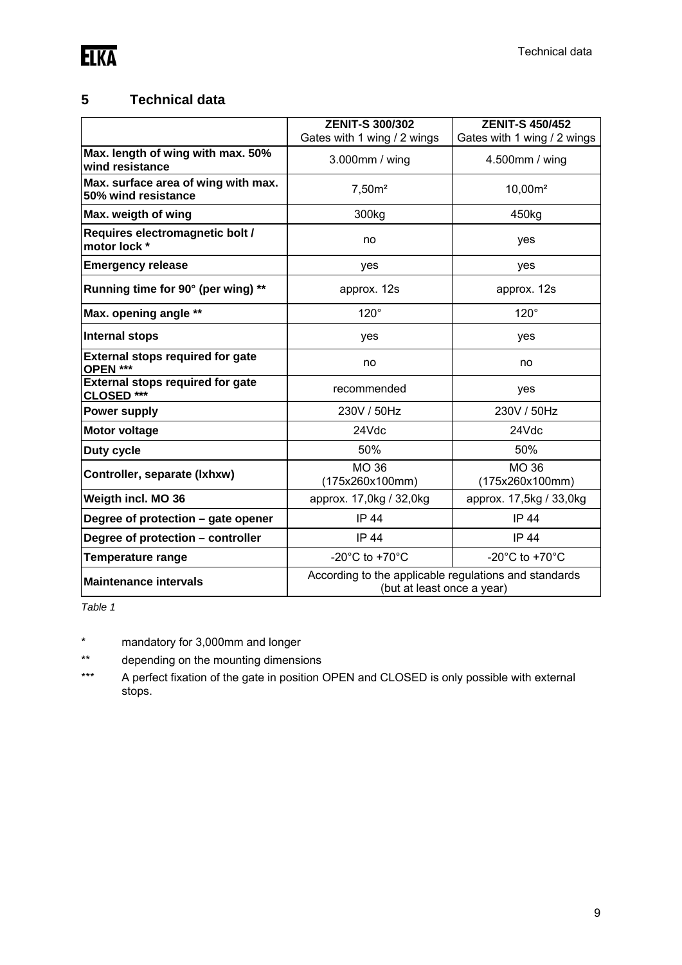

### **5 Technical data**

|                                                            | <b>ZENIT-S 300/302</b>                                                              | <b>ZENIT-S 450/452</b>               |
|------------------------------------------------------------|-------------------------------------------------------------------------------------|--------------------------------------|
|                                                            | Gates with 1 wing / 2 wings                                                         | Gates with 1 wing / 2 wings          |
| Max. length of wing with max. 50%<br>wind resistance       | 3.000mm / wing                                                                      | 4.500mm / wing                       |
| Max. surface area of wing with max.<br>50% wind resistance | 7,50m <sup>2</sup>                                                                  | $10,00m^2$                           |
| Max. weigth of wing                                        | 300kg                                                                               | 450kg                                |
| Requires electromagnetic bolt /<br>motor lock *            | no                                                                                  | yes                                  |
| <b>Emergency release</b>                                   | yes                                                                                 | yes                                  |
| Running time for 90° (per wing) **                         | approx. 12s                                                                         | approx. 12s                          |
| Max. opening angle **                                      | $120^\circ$                                                                         | $120^\circ$                          |
| <b>Internal stops</b>                                      | yes                                                                                 | yes                                  |
| <b>External stops required for gate</b><br>OPEN ***        | no                                                                                  | no                                   |
| <b>External stops required for gate</b><br>CLOSED ***      | recommended                                                                         | yes                                  |
| <b>Power supply</b>                                        | 230V / 50Hz                                                                         | 230V / 50Hz                          |
| <b>Motor voltage</b>                                       | 24Vdc                                                                               | 24Vdc                                |
| Duty cycle                                                 | 50%                                                                                 | 50%                                  |
| Controller, separate (Ixhxw)                               | <b>MO 36</b><br>(175x260x100mm)                                                     | <b>MO 36</b><br>(175x260x100mm)      |
| Weigth incl. MO 36                                         | approx. 17,0kg / 32,0kg                                                             | approx. 17,5kg / 33,0kg              |
| Degree of protection - gate opener                         | <b>IP 44</b>                                                                        | <b>IP 44</b>                         |
| Degree of protection - controller                          | <b>IP 44</b>                                                                        | <b>IP 44</b>                         |
| <b>Temperature range</b>                                   | -20 $^{\circ}$ C to +70 $^{\circ}$ C                                                | -20 $^{\circ}$ C to +70 $^{\circ}$ C |
| <b>Maintenance intervals</b>                               | According to the applicable regulations and standards<br>(but at least once a year) |                                      |

*Table 1* 

\* mandatory for 3,000mm and longer

\*\* depending on the mounting dimensions

\*\*\* A perfect fixation of the gate in position OPEN and CLOSED is only possible with external stops.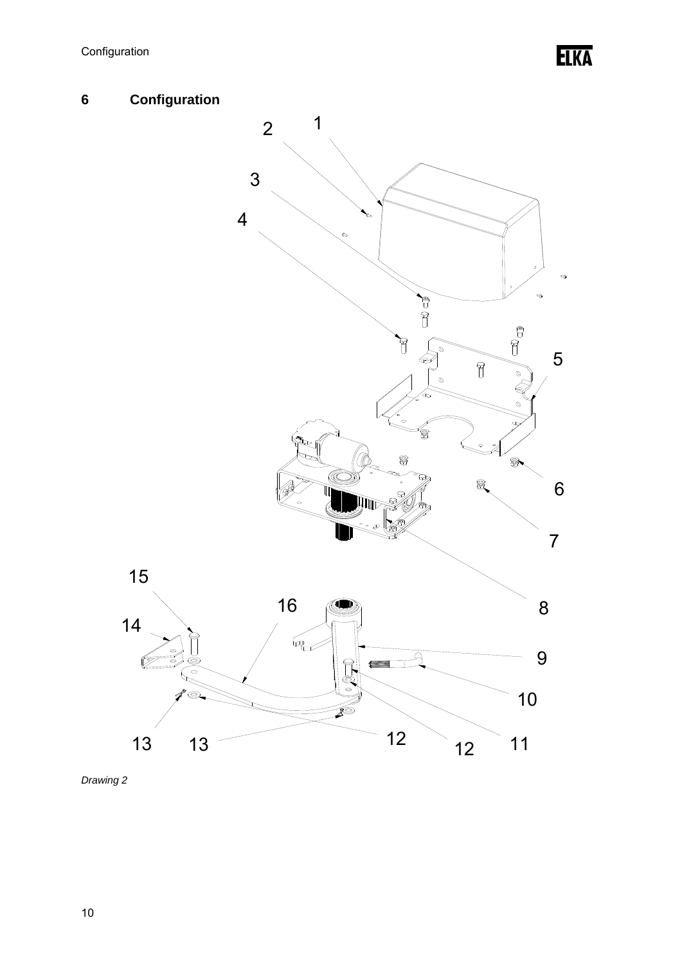**ELKA** 



*Drawing 2*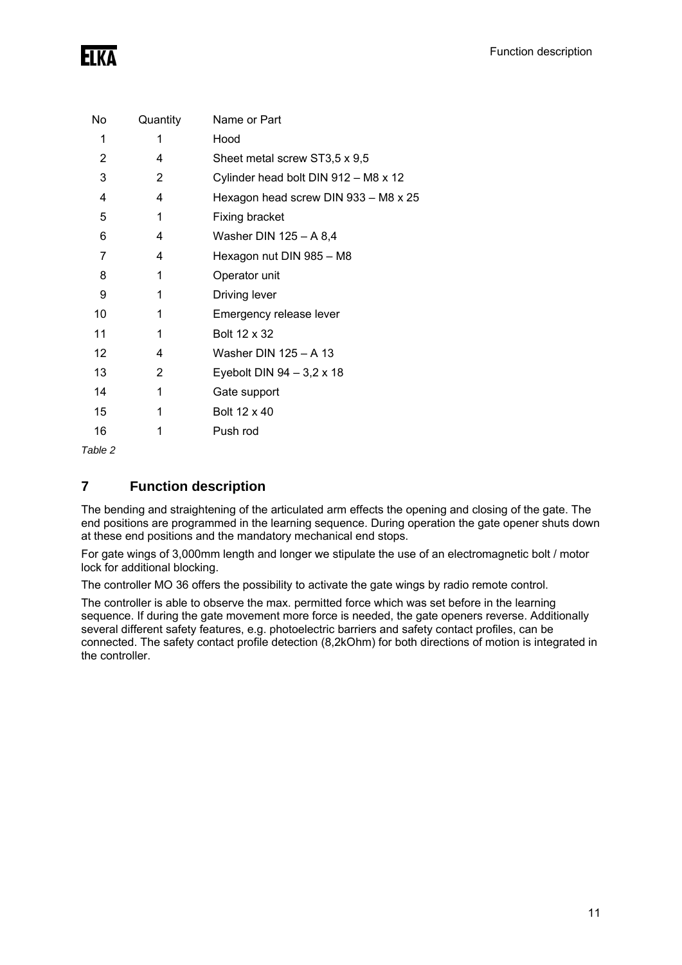| No | Quantity | Name or Part                         |
|----|----------|--------------------------------------|
| 1  | 1        | Hood                                 |
| 2  | 4        | Sheet metal screw ST3,5 x 9,5        |
| 3  | 2        | Cylinder head bolt DIN 912 - M8 x 12 |
| 4  | 4        | Hexagon head screw DIN 933 - M8 x 25 |
| 5  | 1        | Fixing bracket                       |
| 6  | 4        | Washer DIN 125 - A 8,4               |
| 7  | 4        | Hexagon nut DIN 985 - M8             |
| 8  | 1        | Operator unit                        |
| 9  | 1        | Driving lever                        |
| 10 | 1        | Emergency release lever              |
| 11 | 1        | Bolt 12 x 32                         |
| 12 | 4        | Washer DIN 125 - A 13                |
| 13 | 2        | Eyebolt DIN $94 - 3,2 \times 18$     |
| 14 | 1        | Gate support                         |
| 15 | 1        | Bolt 12 x 40                         |
| 16 | 1        | Push rod                             |
|    |          |                                      |

*Table 2* 

### **7 Function description**

The bending and straightening of the articulated arm effects the opening and closing of the gate. The end positions are programmed in the learning sequence. During operation the gate opener shuts down at these end positions and the mandatory mechanical end stops.

For gate wings of 3,000mm length and longer we stipulate the use of an electromagnetic bolt / motor lock for additional blocking.

The controller MO 36 offers the possibility to activate the gate wings by radio remote control.

The controller is able to observe the max. permitted force which was set before in the learning sequence. If during the gate movement more force is needed, the gate openers reverse. Additionally several different safety features, e.g. photoelectric barriers and safety contact profiles, can be connected. The safety contact profile detection (8,2kOhm) for both directions of motion is integrated in the controller.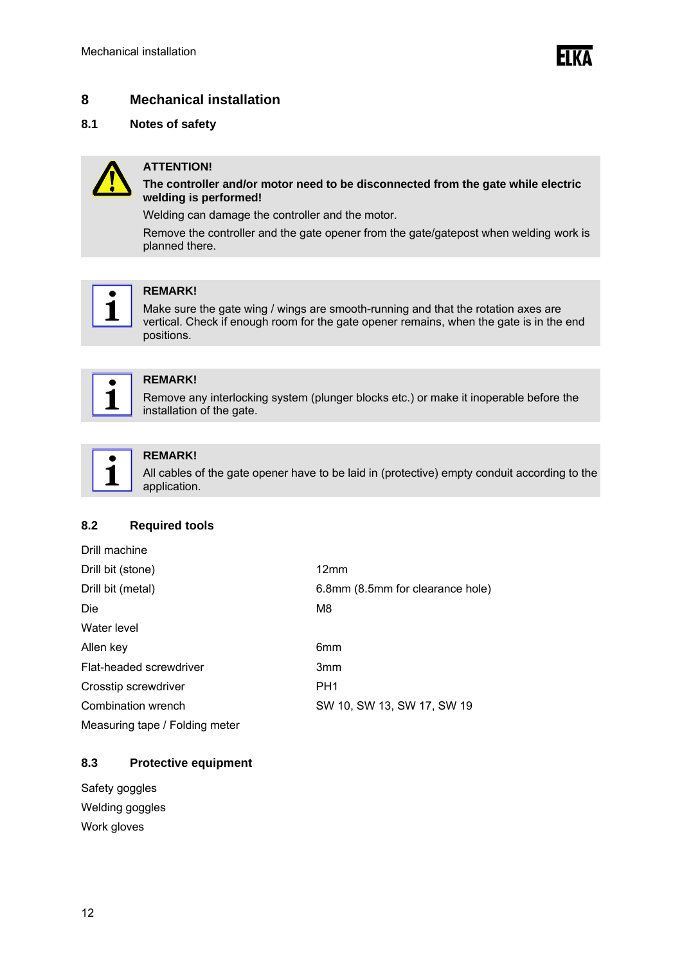**FIKA** 

### **8 Mechanical installation**

#### **8.1 Notes of safety**



#### **ATTENTION!**

**The controller and/or motor need to be disconnected from the gate while electric welding is performed!**

Welding can damage the controller and the motor.

Remove the controller and the gate opener from the gate/gatepost when welding work is planned there.



#### **REMARK!**

Make sure the gate wing / wings are smooth-running and that the rotation axes are vertical. Check if enough room for the gate opener remains, when the gate is in the end positions.



#### **REMARK!**

Remove any interlocking system (plunger blocks etc.) or make it inoperable before the installation of the gate.



#### **REMARK!**

All cables of the gate opener have to be laid in (protective) empty conduit according to the application.

#### **8.2 Required tools**

| Drill machine                  |                                  |
|--------------------------------|----------------------------------|
| Drill bit (stone)              | 12mm                             |
| Drill bit (metal)              | 6.8mm (8.5mm for clearance hole) |
| Die                            | M8                               |
| Water level                    |                                  |
| Allen key                      | 6 <sub>mm</sub>                  |
| Flat-headed screwdriver        | 3 <sub>mm</sub>                  |
| Crosstip screwdriver           | PH <sub>1</sub>                  |
| Combination wrench             | SW 10, SW 13, SW 17, SW 19       |
| Measuring tape / Folding meter |                                  |

#### **8.3 Protective equipment**

Safety goggles Welding goggles Work gloves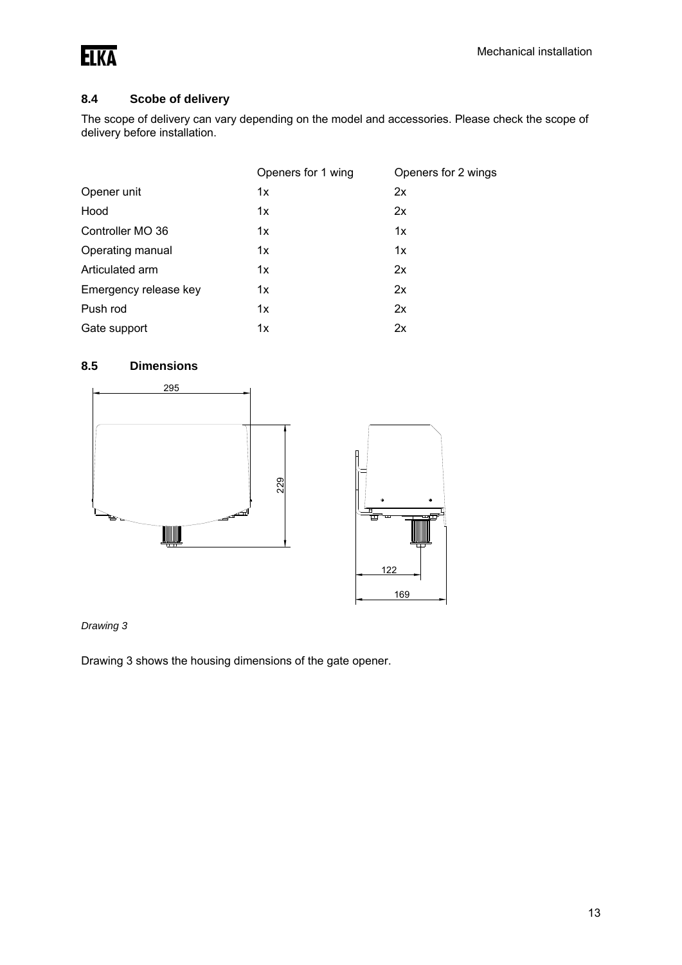

### **8.4 Scobe of delivery**

The scope of delivery can vary depending on the model and accessories. Please check the scope of delivery before installation.

|                       | Openers for 1 wing | Openers for 2 wings |
|-----------------------|--------------------|---------------------|
| Opener unit           | 1x                 | 2x                  |
| Hood                  | 1x                 | 2x                  |
| Controller MO 36      | 1x                 | 1x                  |
| Operating manual      | 1x                 | 1x                  |
| Articulated arm       | 1x                 | 2x                  |
| Emergency release key | 1x                 | 2x                  |
| Push rod              | 1x                 | 2x                  |
| Gate support          | 1x                 | 2x                  |

### **8.5 Dimensions**



#### *Drawing 3*

Drawing 3 shows the housing dimensions of the gate opener.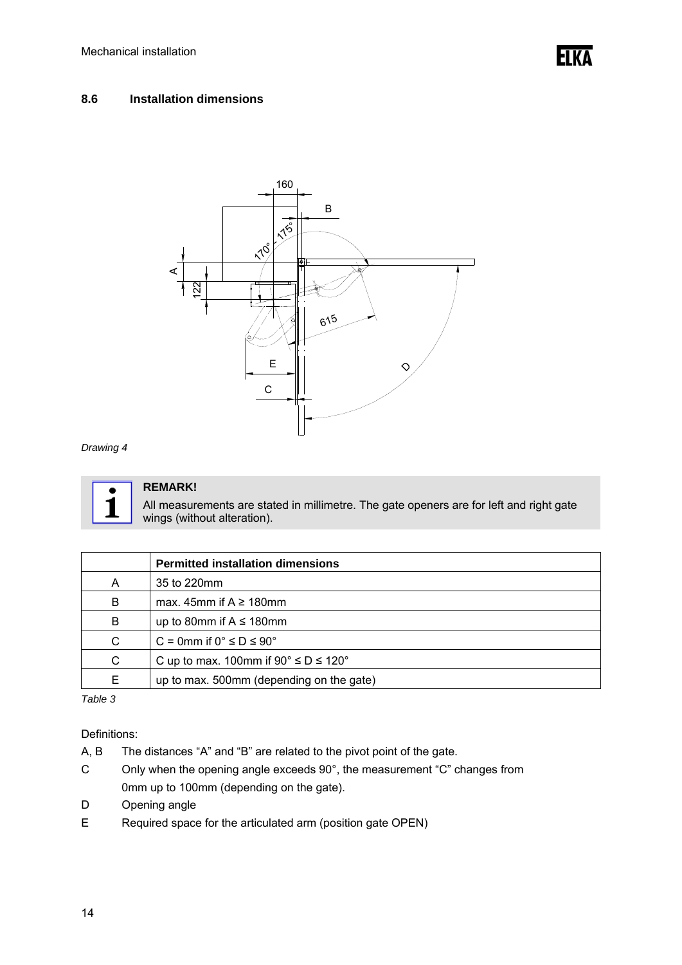#### **8.6 Installation dimensions**



#### *Drawing 4*



### **REMARK!**

All measurements are stated in millimetre. The gate openers are for left and right gate wings (without alteration).

|   | <b>Permitted installation dimensions</b>             |
|---|------------------------------------------------------|
| А | 35 to 220mm                                          |
| B | max. 45mm if $A \ge 180$ mm                          |
| B | up to 80mm if $A \le 180$ mm                         |
| C | C = 0mm if $0^{\circ} \le D \le 90^{\circ}$          |
| C | C up to max. 100mm if $90^\circ \le D \le 120^\circ$ |
| E | up to max. 500mm (depending on the gate)             |

*Table 3* 

Definitions:

- A, B The distances "A" and "B" are related to the pivot point of the gate.
- C Only when the opening angle exceeds 90°, the measurement "C" changes from 0mm up to 100mm (depending on the gate).
- D Opening angle
- E Required space for the articulated arm (position gate OPEN)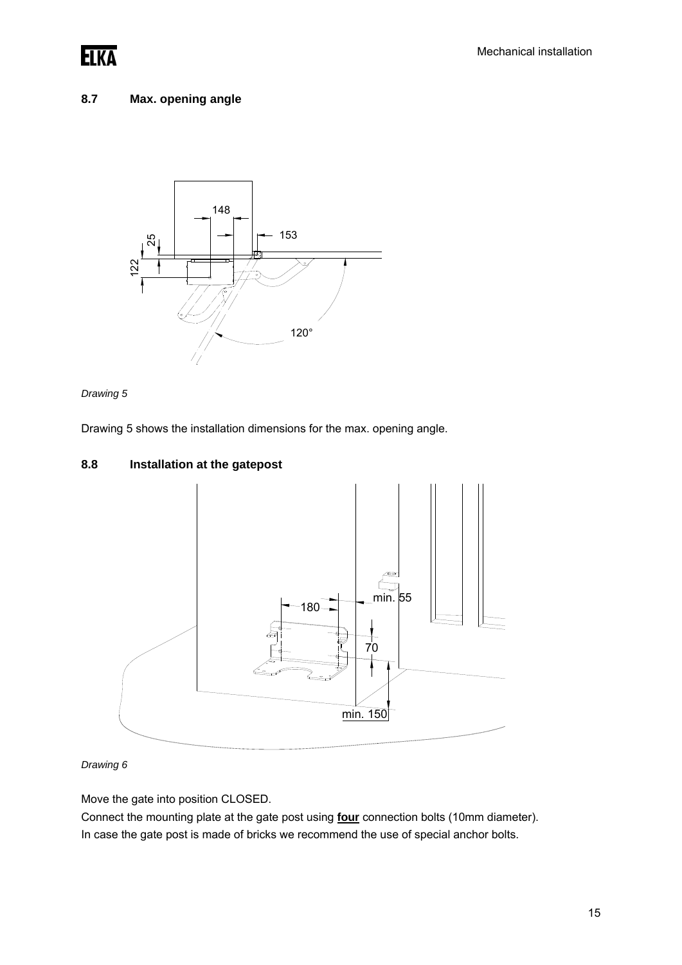

#### **8.7 Max. opening angle**





Drawing 5 shows the installation dimensions for the max. opening angle.

#### **8.8 Installation at the gatepost**



*Drawing 6* 

Move the gate into position CLOSED.

Connect the mounting plate at the gate post using **four** connection bolts (10mm diameter). In case the gate post is made of bricks we recommend the use of special anchor bolts.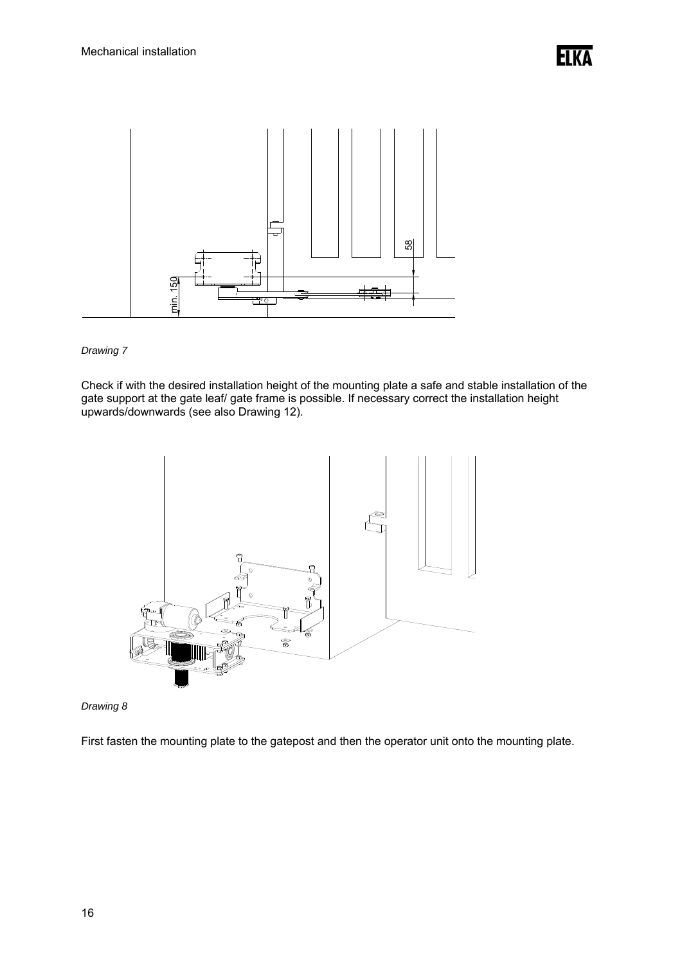

Check if with the desired installation height of the mounting plate a safe and stable installation of the gate support at the gate leaf/ gate frame is possible. If necessary correct the installation height upwards/downwards (see also Drawing 12).





First fasten the mounting plate to the gatepost and then the operator unit onto the mounting plate.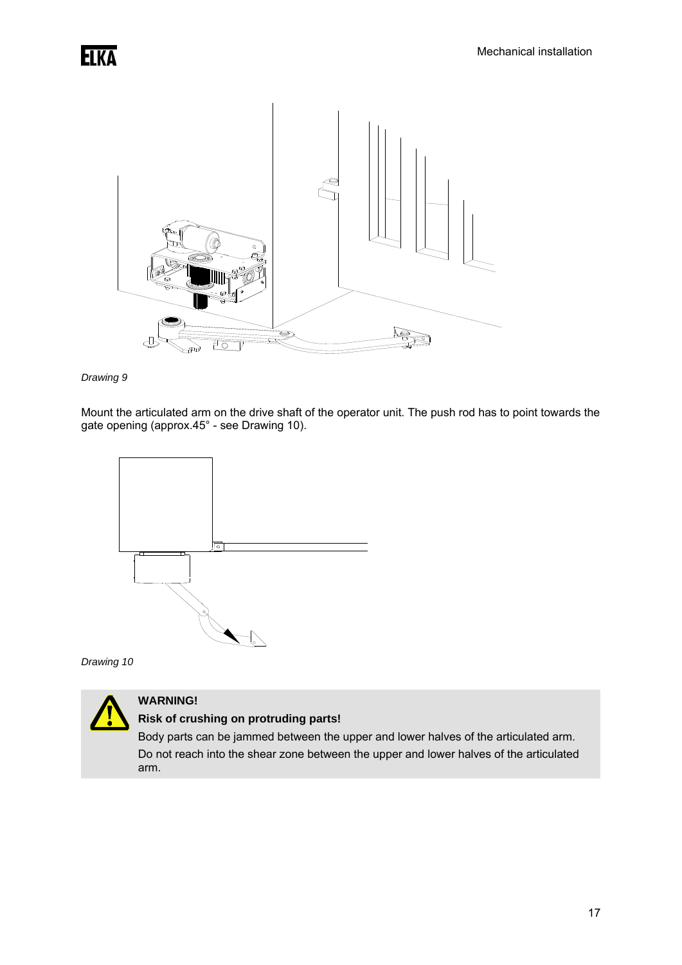



Mount the articulated arm on the drive shaft of the operator unit. The push rod has to point towards the gate opening (approx.45° - see Drawing 10).



*Drawing 10* 



### **WARNING!**

**Risk of crushing on protruding parts!** 

Body parts can be jammed between the upper and lower halves of the articulated arm. Do not reach into the shear zone between the upper and lower halves of the articulated arm.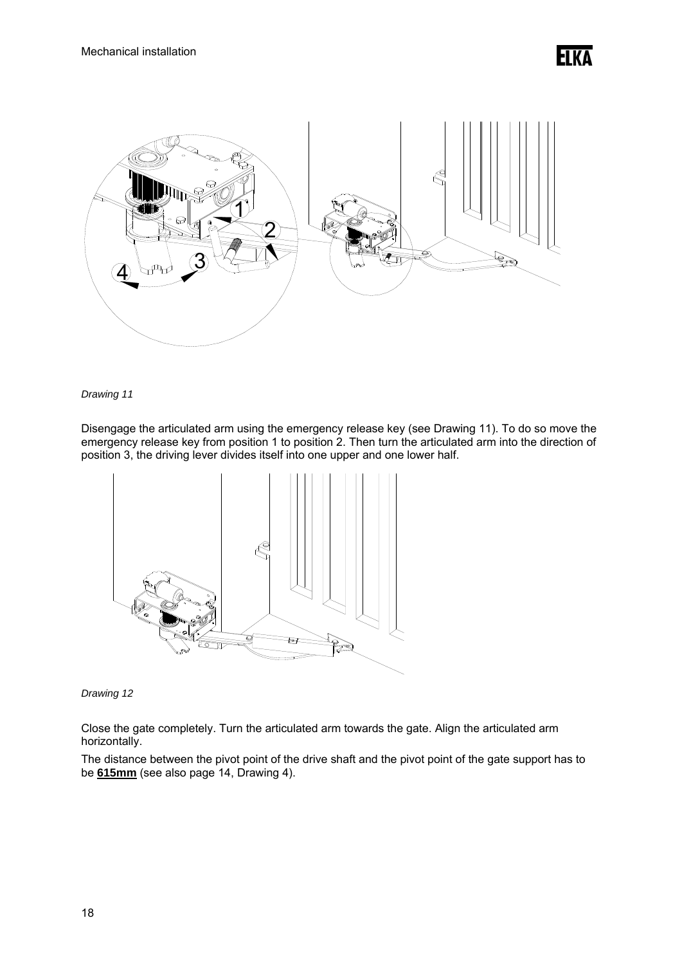

Disengage the articulated arm using the emergency release key (see Drawing 11). To do so move the emergency release key from position 1 to position 2. Then turn the articulated arm into the direction of position 3, the driving lever divides itself into one upper and one lower half.



#### *Drawing 12*

Close the gate completely. Turn the articulated arm towards the gate. Align the articulated arm horizontally.

The distance between the pivot point of the drive shaft and the pivot point of the gate support has to be **615mm** (see also page 14, Drawing 4).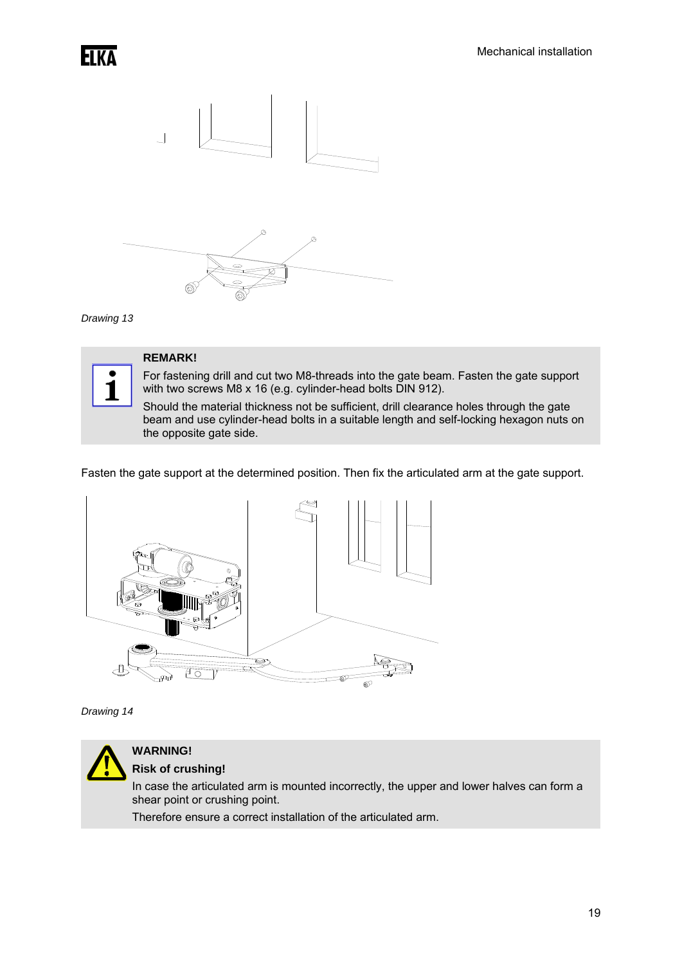



### **REMARK!**

For fastening drill and cut two M8-threads into the gate beam. Fasten the gate support with two screws M8 x 16 (e.g. cylinder-head bolts DIN 912).

Should the material thickness not be sufficient, drill clearance holes through the gate beam and use cylinder-head bolts in a suitable length and self-locking hexagon nuts on the opposite gate side.

Fasten the gate support at the determined position. Then fix the articulated arm at the gate support.



*Drawing 14* 



#### **WARNING! Risk of crushing!**

In case the articulated arm is mounted incorrectly, the upper and lower halves can form a shear point or crushing point.

Therefore ensure a correct installation of the articulated arm.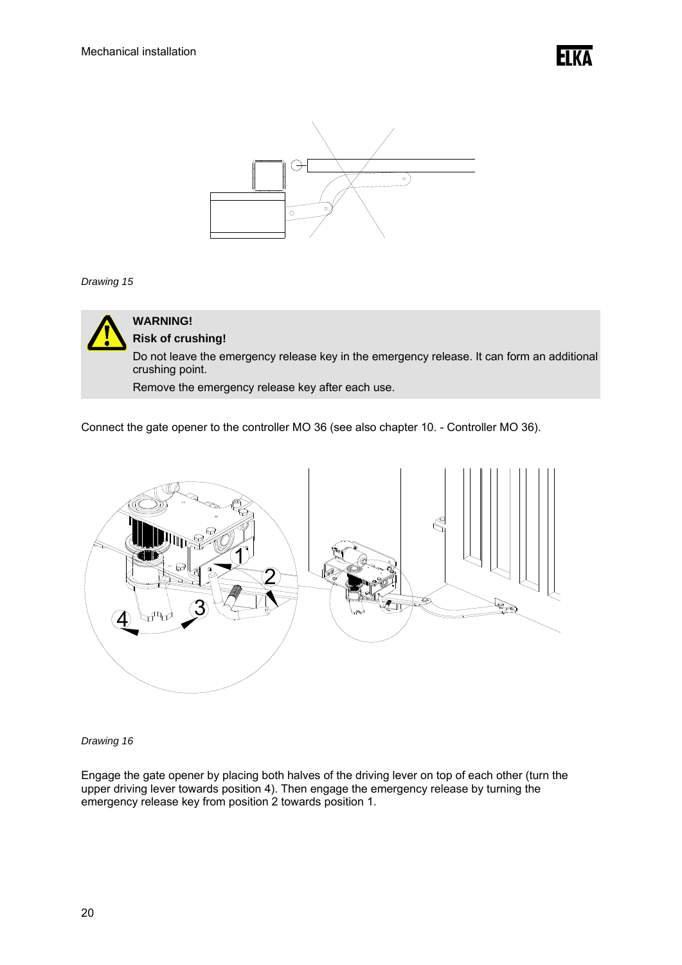



### **WARNING! Risk of crushing!**

Do not leave the emergency release key in the emergency release. It can form an additional crushing point.

Remove the emergency release key after each use.

Connect the gate opener to the controller MO 36 (see also chapter 10. - Controller MO 36).



#### *Drawing 16*

Engage the gate opener by placing both halves of the driving lever on top of each other (turn the upper driving lever towards position 4). Then engage the emergency release by turning the emergency release key from position 2 towards position 1.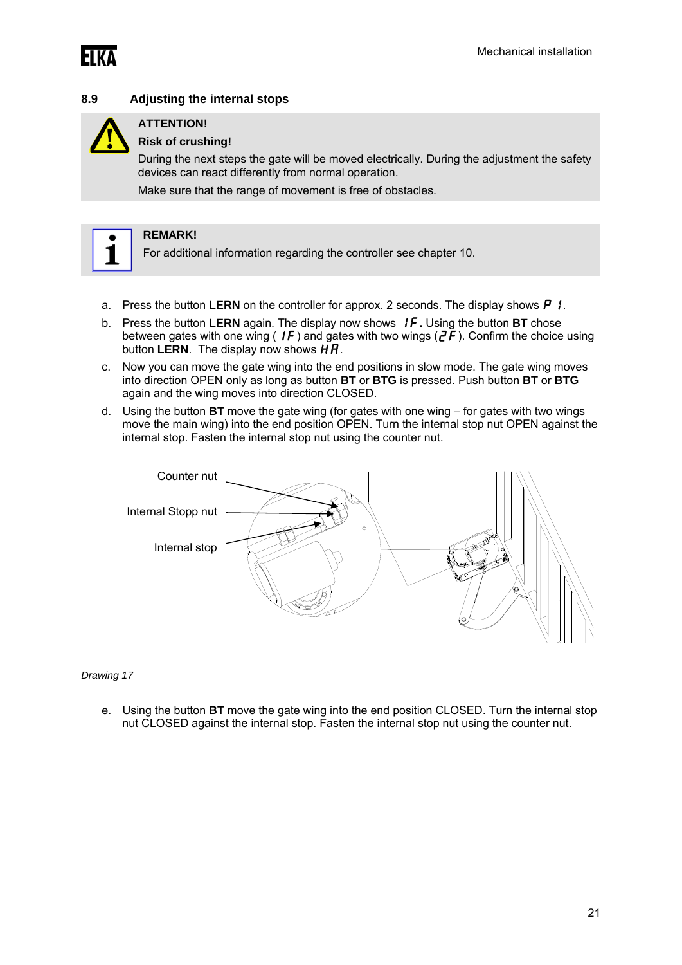

#### **8.9 Adjusting the internal stops**



### **ATTENTION!**

#### **Risk of crushing!**

During the next steps the gate will be moved electrically. During the adjustment the safety devices can react differently from normal operation.

Make sure that the range of movement is free of obstacles.



#### **REMARK!**

For additional information regarding the controller see chapter 10.

- a. Press the button **LERN** on the controller for approx. 2 seconds. The display shows  $\boldsymbol{P}$  **!**.
- b. Press the button **LERN** again. The display now shows 1f**.** Using the button **BT** chose between gates with one wing ( $1\sqrt{f}$ ) and gates with two wings ( $2\vec{f}$ ). Confirm the choice using button **LERN**. The display now shows  $\boldsymbol{\breve{H}H}$ .
- c. Now you can move the gate wing into the end positions in slow mode. The gate wing moves into direction OPEN only as long as button **BT** or **BTG** is pressed. Push button **BT** or **BTG**  again and the wing moves into direction CLOSED.
- d. Using the button **BT** move the gate wing (for gates with one wing for gates with two wings move the main wing) into the end position OPEN. Turn the internal stop nut OPEN against the internal stop. Fasten the internal stop nut using the counter nut.



#### *Drawing 17*

e. Using the button **BT** move the gate wing into the end position CLOSED. Turn the internal stop nut CLOSED against the internal stop. Fasten the internal stop nut using the counter nut.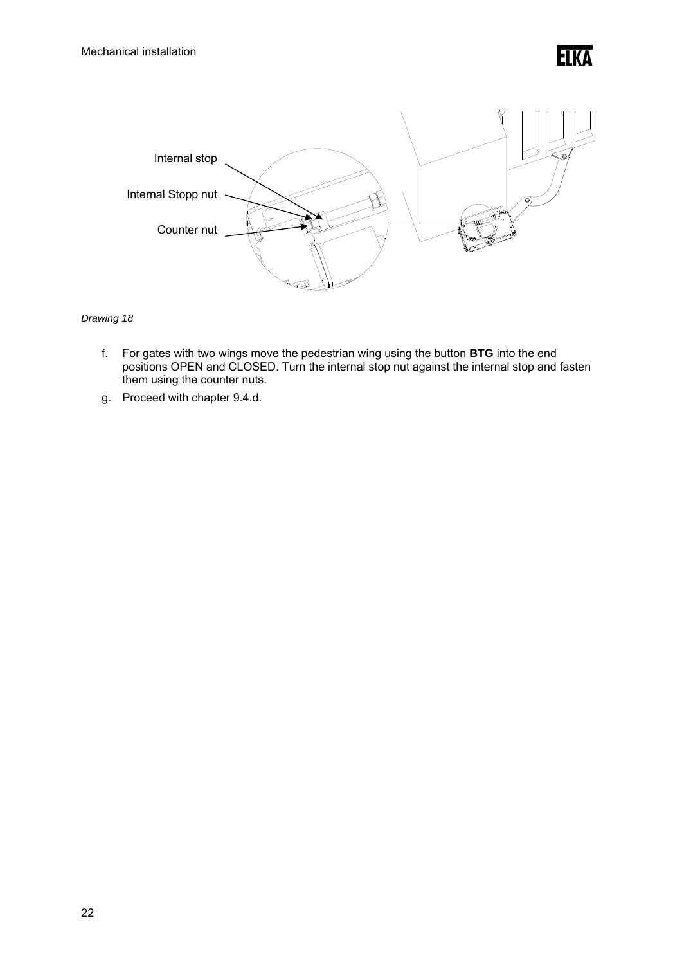



- f. For gates with two wings move the pedestrian wing using the button **BTG** into the end positions OPEN and CLOSED. Turn the internal stop nut against the internal stop and fasten them using the counter nuts.
- g. Proceed with chapter 9.4.d.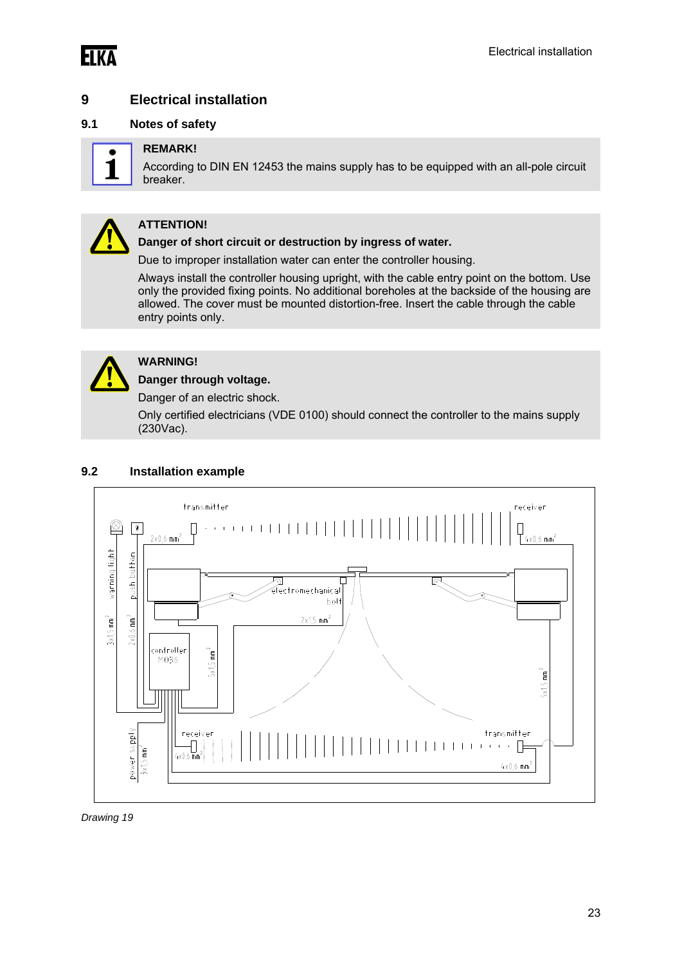

### **9 Electrical installation**

#### **9.1 Notes of safety**



#### **REMARK!**

According to DIN EN 12453 the mains supply has to be equipped with an all-pole circuit breaker.



#### **ATTENTION!**

**Danger of short circuit or destruction by ingress of water.** 

Due to improper installation water can enter the controller housing.

Always install the controller housing upright, with the cable entry point on the bottom. Use only the provided fixing points. No additional boreholes at the backside of the housing are allowed. The cover must be mounted distortion-free. Insert the cable through the cable entry points only.



### **WARNING!**

**Danger through voltage.**  Danger of an electric shock.

Only certified electricians (VDE 0100) should connect the controller to the mains supply (230Vac).

#### **9.2 Installation example**



*Drawing 19*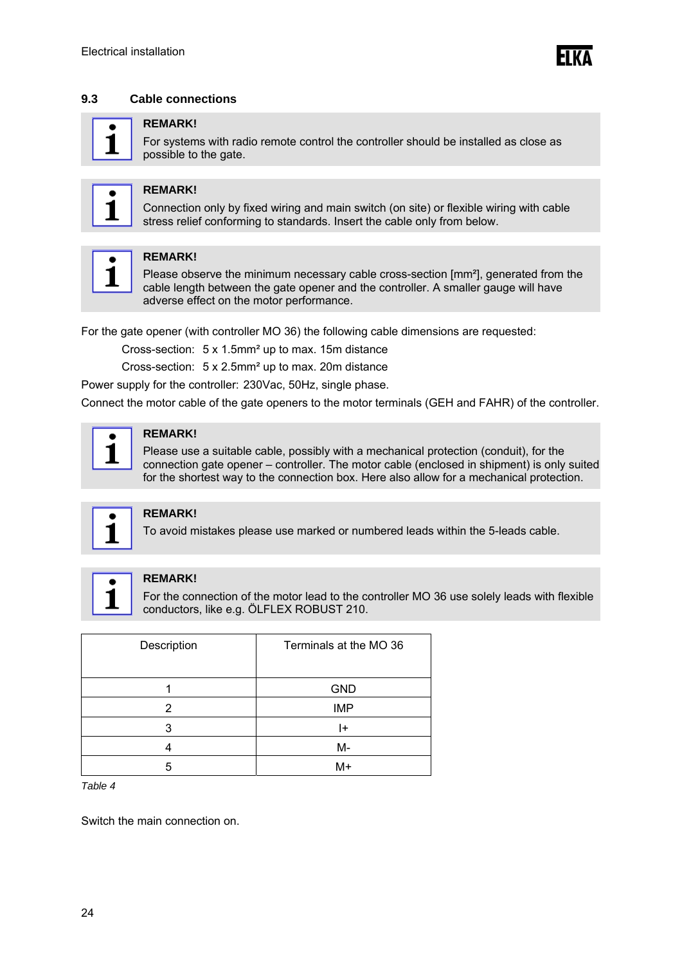#### **9.3 Cable connections**

#### **REMARK!**

For systems with radio remote control the controller should be installed as close as possible to the gate.



#### **REMARK!**

Connection only by fixed wiring and main switch (on site) or flexible wiring with cable stress relief conforming to standards. Insert the cable only from below.



#### **REMARK!**

Please observe the minimum necessary cable cross-section [mm<sup>2</sup>], generated from the cable length between the gate opener and the controller. A smaller gauge will have adverse effect on the motor performance.

For the gate opener (with controller MO 36) the following cable dimensions are requested:

Cross-section: 5 x 1.5mm² up to max. 15m distance

Cross-section: 5 x 2.5mm² up to max. 20m distance

Power supply for the controller: 230Vac, 50Hz, single phase.

Connect the motor cable of the gate openers to the motor terminals (GEH and FAHR) of the controller.



#### **REMARK!**

Please use a suitable cable, possibly with a mechanical protection (conduit), for the connection gate opener – controller. The motor cable (enclosed in shipment) is only suited for the shortest way to the connection box. Here also allow for a mechanical protection.



#### **REMARK!**

To avoid mistakes please use marked or numbered leads within the 5-leads cable.



#### **REMARK!**

For the connection of the motor lead to the controller MO 36 use solely leads with flexible conductors, like e.g. ÖLFLEX ROBUST 210.

| Description | Terminals at the MO 36 |
|-------------|------------------------|
|             | <b>GND</b>             |
| 2           | <b>IMP</b>             |
| 3           | ŀ                      |
|             | M-                     |
| 5           | M+                     |

*Table 4* 

Switch the main connection on.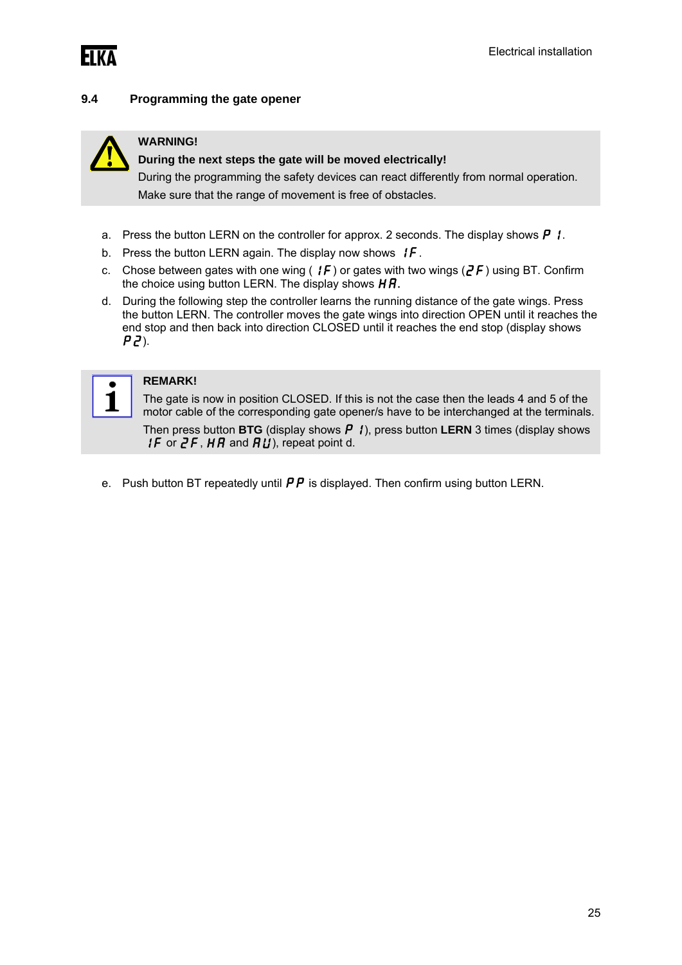

#### **9.4 Programming the gate opener**



#### **WARNING!**

#### **During the next steps the gate will be moved electrically!**

During the programming the safety devices can react differently from normal operation. Make sure that the range of movement is free of obstacles.

- a. Press the button LERN on the controller for approx. 2 seconds. The display shows  $\boldsymbol{P}$   $\boldsymbol{I}$ .
- b. Press the button LERN again. The display now shows  $\{F.$
- c. Chose between gates with one wing ( $IF$ ) or gates with two wings ( $2F$ ) using BT. Confirm the choice using button LERN. The display shows  $HR$ .
- d. During the following step the controller learns the running distance of the gate wings. Press the button LERN. The controller moves the gate wings into direction OPEN until it reaches the end stop and then back into direction CLOSED until it reaches the end stop (display shows  $PZ$ ).



#### **REMARK!**

The gate is now in position CLOSED. If this is not the case then the leads 4 and 5 of the motor cable of the corresponding gate opener/s have to be interchanged at the terminals.

Then press button **BTG** (display shows  $P$  *i*), press button **LERN** 3 times (display shows **1F** or  $2F$ ,  $HR$  and  $RU$ ), repeat point d.

e. Push button BT repeatedly until  $\mathbf{P}\mathbf{P}$  is displayed. Then confirm using button LERN.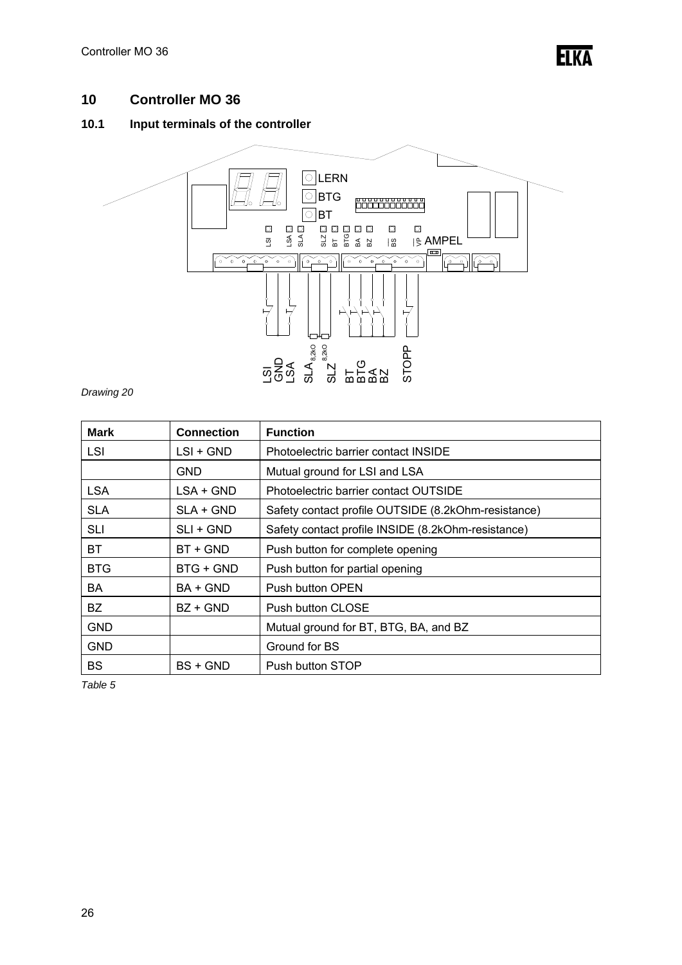### **10 Controller MO 36**

### **10.1 Input terminals of the controller**



*Drawing 20* 

| <b>Mark</b> | <b>Connection</b> | <b>Function</b>                                     |
|-------------|-------------------|-----------------------------------------------------|
| LSI         | $LSI + GND$       | Photoelectric barrier contact INSIDE                |
|             | <b>GND</b>        | Mutual ground for LSI and LSA                       |
| <b>LSA</b>  | LSA + GND         | Photoelectric barrier contact OUTSIDE               |
| <b>SLA</b>  | SLA + GND         | Safety contact profile OUTSIDE (8.2kOhm-resistance) |
| <b>SLI</b>  | $SLI + GND$       | Safety contact profile INSIDE (8.2kOhm-resistance)  |
| <b>BT</b>   | BT + GND          | Push button for complete opening                    |
| <b>BTG</b>  | BTG + GND         | Push button for partial opening                     |
| BA          | BA + GND          | Push button OPEN                                    |
| BZ.         | $BZ + GND$        | Push button CLOSE                                   |
| <b>GND</b>  |                   | Mutual ground for BT, BTG, BA, and BZ               |
| <b>GND</b>  |                   | Ground for BS                                       |
| BS          | BS + GND          | Push button STOP                                    |

*Table 5*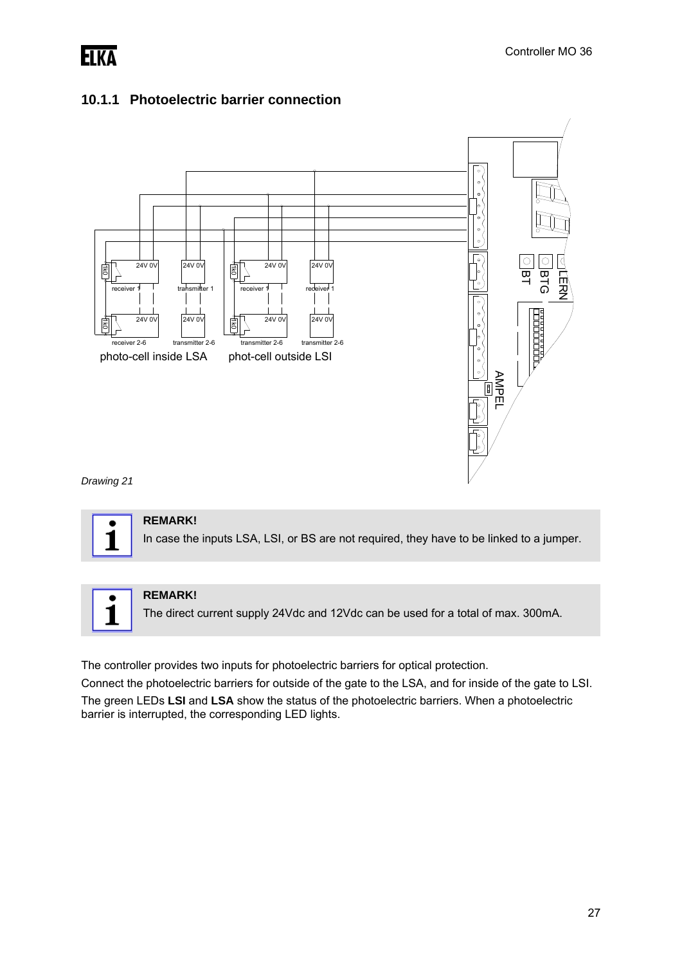

### **10.1.1 Photoelectric barrier connection**



*Drawing 21* 





#### **REMARK!**

The direct current supply 24Vdc and 12Vdc can be used for a total of max. 300mA.

The controller provides two inputs for photoelectric barriers for optical protection.

Connect the photoelectric barriers for outside of the gate to the LSA, and for inside of the gate to LSI. The green LEDs **LSI** and **LSA** show the status of the photoelectric barriers. When a photoelectric barrier is interrupted, the corresponding LED lights.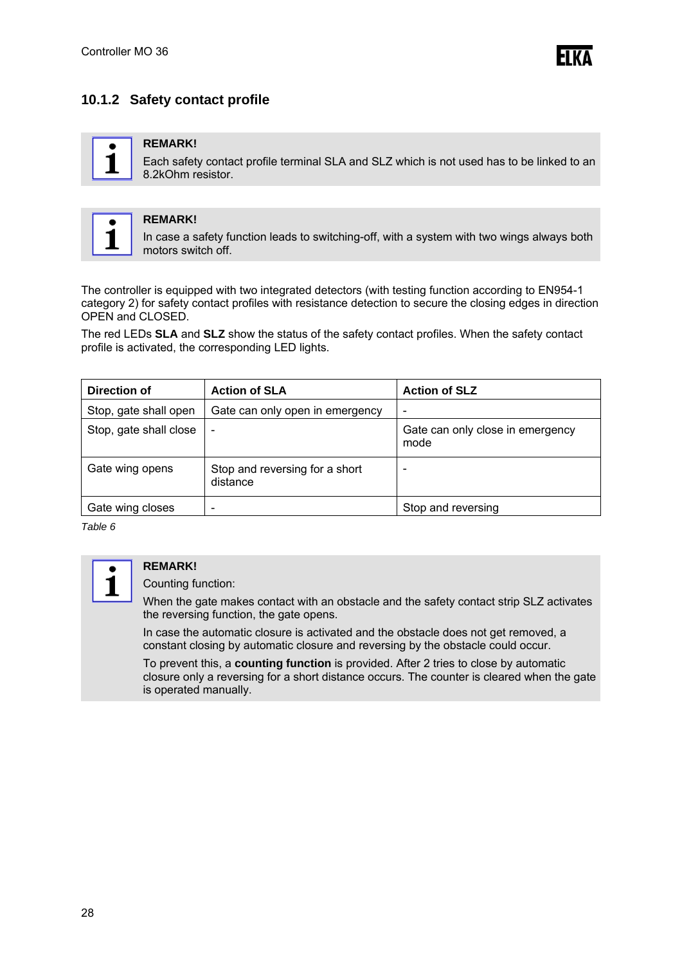**FIKA** 

### **10.1.2 Safety contact profile**



#### **REMARK!**

Each safety contact profile terminal SLA and SLZ which is not used has to be linked to an 8.2kOhm resistor.



### **REMARK!**

In case a safety function leads to switching-off, with a system with two wings always both motors switch off.

The controller is equipped with two integrated detectors (with testing function according to EN954-1 category 2) for safety contact profiles with resistance detection to secure the closing edges in direction OPEN and CLOSED.

The red LEDs **SLA** and **SLZ** show the status of the safety contact profiles. When the safety contact profile is activated, the corresponding LED lights.

| Direction of           | <b>Action of SLA</b>                       | <b>Action of SLZ</b>                     |
|------------------------|--------------------------------------------|------------------------------------------|
| Stop, gate shall open  | Gate can only open in emergency            | $\overline{\phantom{a}}$                 |
| Stop, gate shall close | $\overline{\phantom{a}}$                   | Gate can only close in emergency<br>mode |
| Gate wing opens        | Stop and reversing for a short<br>distance | $\overline{\phantom{a}}$                 |
| Gate wing closes       | $\qquad \qquad \blacksquare$               | Stop and reversing                       |

*Table 6* 



#### **REMARK!**

Counting function:

When the gate makes contact with an obstacle and the safety contact strip SLZ activates the reversing function, the gate opens.

In case the automatic closure is activated and the obstacle does not get removed, a constant closing by automatic closure and reversing by the obstacle could occur.

To prevent this, a **counting function** is provided. After 2 tries to close by automatic closure only a reversing for a short distance occurs. The counter is cleared when the gate is operated manually.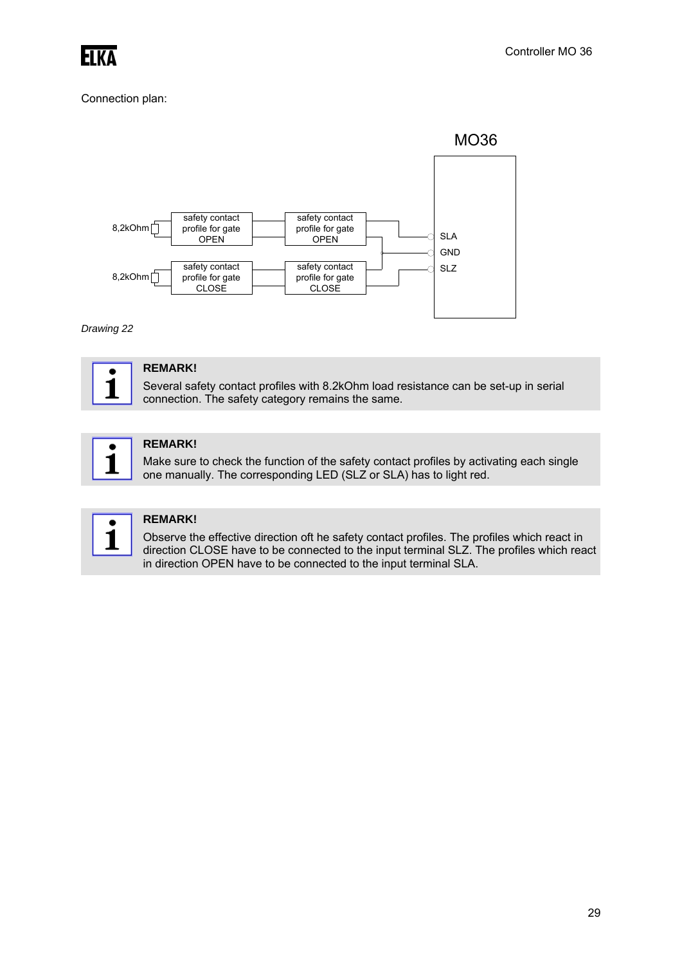

#### Connection plan:



*Drawing 22* 



#### **REMARK!**

Several safety contact profiles with 8.2kOhm load resistance can be set-up in serial connection. The safety category remains the same.



#### **REMARK!**

Make sure to check the function of the safety contact profiles by activating each single one manually. The corresponding LED (SLZ or SLA) has to light red.



#### **REMARK!**

Observe the effective direction oft he safety contact profiles. The profiles which react in direction CLOSE have to be connected to the input terminal SLZ. The profiles which react in direction OPEN have to be connected to the input terminal SLA.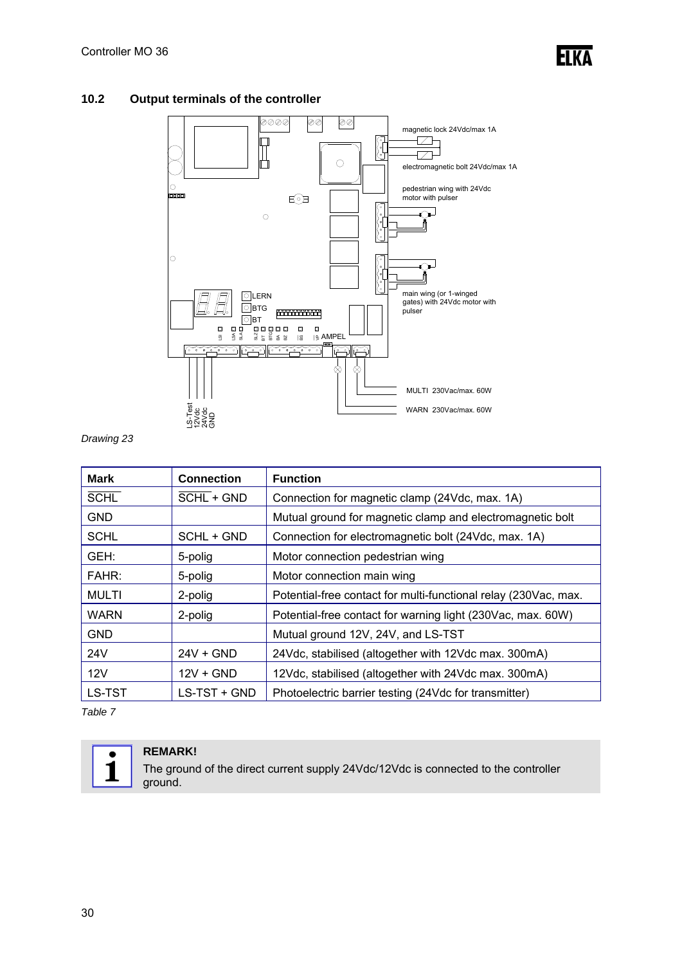

#### **10.2 Output terminals of the controller**



*Drawing 23* 

| <b>Mark</b>  | <b>Connection</b> | <b>Function</b>                                                 |
|--------------|-------------------|-----------------------------------------------------------------|
| <b>SCHL</b>  | SCHL + GND        | Connection for magnetic clamp (24Vdc, max. 1A)                  |
| <b>GND</b>   |                   | Mutual ground for magnetic clamp and electromagnetic bolt       |
| <b>SCHL</b>  | SCHL + GND        | Connection for electromagnetic bolt (24Vdc, max. 1A)            |
| GEH:         | 5-polig           | Motor connection pedestrian wing                                |
| FAHR:        | 5-polig           | Motor connection main wing                                      |
| <b>MULTI</b> | 2-polig           | Potential-free contact for multi-functional relay (230Vac, max. |
| <b>WARN</b>  | 2-polig           | Potential-free contact for warning light (230Vac, max. 60W)     |
| <b>GND</b>   |                   | Mutual ground 12V, 24V, and LS-TST                              |
| 24V          | $24V + GND$       | 24Vdc, stabilised (altogether with 12Vdc max. 300mA)            |
| 12V          | $12V + GND$       | 12Vdc, stabilised (altogether with 24Vdc max. 300mA)            |
| LS-TST       | LS-TST + GND      | Photoelectric barrier testing (24Vdc for transmitter)           |

*Table 7* 



#### **REMARK!**

The ground of the direct current supply 24Vdc/12Vdc is connected to the controller ground.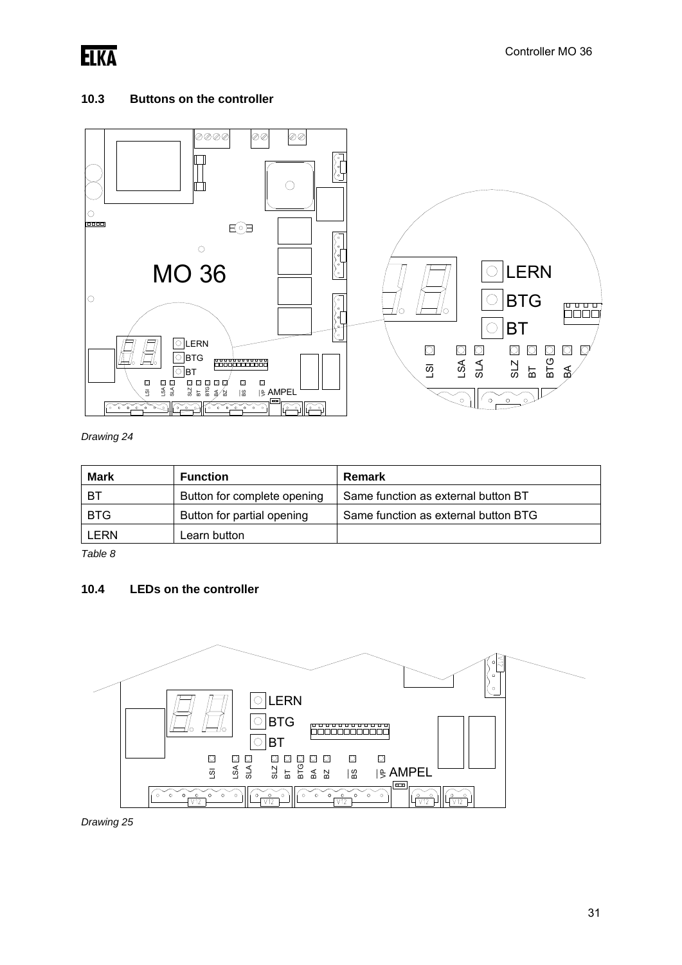

#### **10.3 Buttons on the controller**



*Drawing 24* 

| <b>Mark</b> | <b>Function</b>             | Remark                               |
|-------------|-----------------------------|--------------------------------------|
| -BT         | Button for complete opening | Same function as external button BT  |
| <b>BTG</b>  | Button for partial opening  | Same function as external button BTG |
| LERN        | Learn button                |                                      |

*Table 8* 

#### **10.4 LEDs on the controller**



*Drawing 25*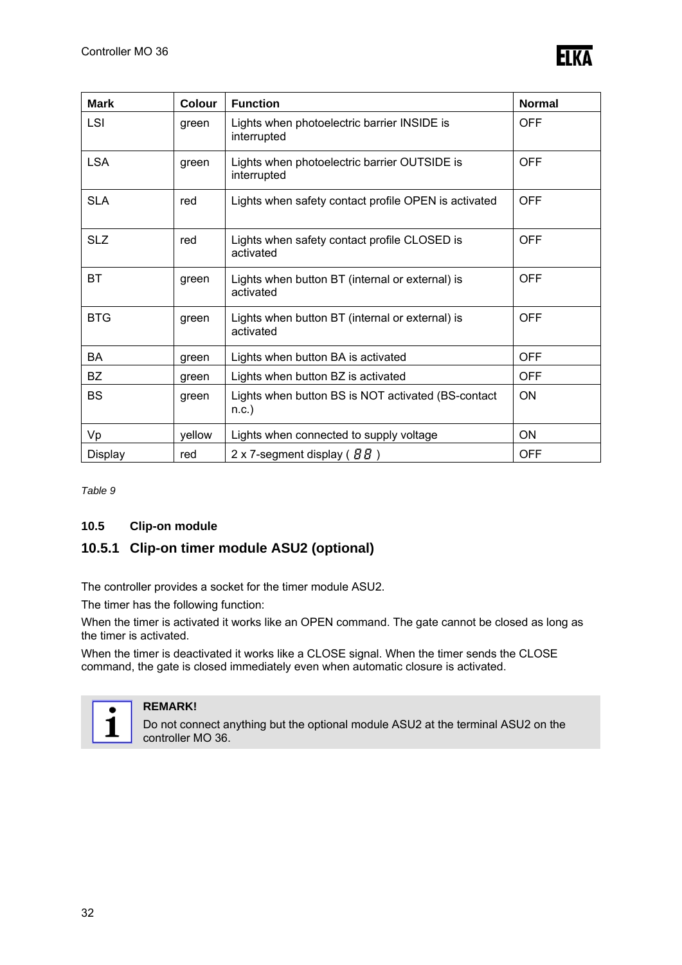

| <b>Mark</b> | Colour | <b>Function</b>                                              | <b>Normal</b> |
|-------------|--------|--------------------------------------------------------------|---------------|
| LSI         | green  | Lights when photoelectric barrier INSIDE is<br>interrupted   | <b>OFF</b>    |
| <b>LSA</b>  | green  | Lights when photoelectric barrier OUTSIDE is<br>interrupted  | <b>OFF</b>    |
| <b>SLA</b>  | red    | Lights when safety contact profile OPEN is activated         | <b>OFF</b>    |
| <b>SLZ</b>  | red    | Lights when safety contact profile CLOSED is<br>activated    | <b>OFF</b>    |
| <b>BT</b>   | green  | Lights when button BT (internal or external) is<br>activated | <b>OFF</b>    |
| <b>BTG</b>  | green  | Lights when button BT (internal or external) is<br>activated | <b>OFF</b>    |
| BA          | green  | Lights when button BA is activated                           | <b>OFF</b>    |
| BZ          | green  | Lights when button BZ is activated                           | <b>OFF</b>    |
| <b>BS</b>   | green  | Lights when button BS is NOT activated (BS-contact<br>n.c.)  | ON            |
| Vp          | yellow | Lights when connected to supply voltage                      | ON            |
| Display     | red    | 2 x 7-segment display ( $BB$ )                               | <b>OFF</b>    |

*Table 9* 

#### **10.5 Clip-on module**

### **10.5.1 Clip-on timer module ASU2 (optional)**

The controller provides a socket for the timer module ASU2.

The timer has the following function:

When the timer is activated it works like an OPEN command. The gate cannot be closed as long as the timer is activated.

When the timer is deactivated it works like a CLOSE signal. When the timer sends the CLOSE command, the gate is closed immediately even when automatic closure is activated.



### **REMARK!**

Do not connect anything but the optional module ASU2 at the terminal ASU2 on the controller MO 36.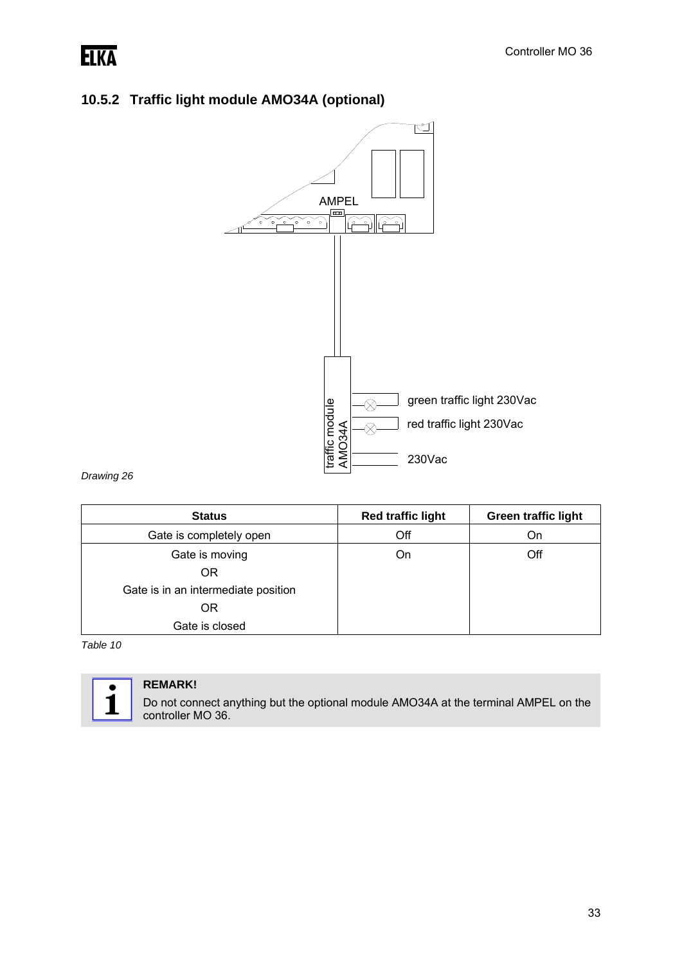# **ELKA**

## **10.5.2 Traffic light module AMO34A (optional)**



*Drawing 26* 

| <b>Status</b>                       | <b>Red traffic light</b> | <b>Green traffic light</b> |
|-------------------------------------|--------------------------|----------------------------|
| Gate is completely open             | Off                      | On                         |
| Gate is moving                      | On                       | Off                        |
| OR                                  |                          |                            |
| Gate is in an intermediate position |                          |                            |
| OR                                  |                          |                            |
| Gate is closed                      |                          |                            |

*Table 10* 



### **REMARK!**

Do not connect anything but the optional module AMO34A at the terminal AMPEL on the controller MO 36.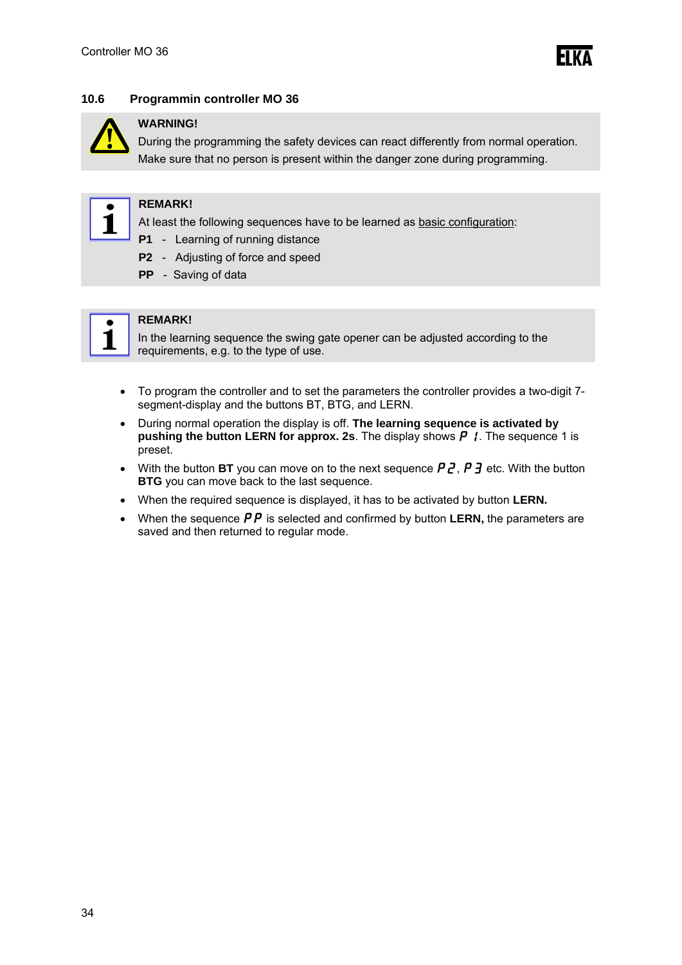#### **10.6 Programmin controller MO 36**



#### **WARNING!**

During the programming the safety devices can react differently from normal operation. Make sure that no person is present within the danger zone during programming.



#### **REMARK!**

At least the following sequences have to be learned as basic configuration:

- **P1** Learning of running distance
- **P2** Adjusting of force and speed
- **PP** Saving of data



#### **REMARK!**

In the learning sequence the swing gate opener can be adjusted according to the requirements, e.g. to the type of use.

- To program the controller and to set the parameters the controller provides a two-digit 7 segment-display and the buttons BT, BTG, and LERN.
- During normal operation the display is off. **The learning sequence is activated by pushing the button LERN for approx. 2s.** The display shows  $\boldsymbol{P}$  /. The sequence 1 is preset.
- With the button **BT** you can move on to the next sequence  $P\bar{Z}$ ,  $P\bar{Z}$  etc. With the button **BTG** you can move back to the last sequence.
- When the required sequence is displayed, it has to be activated by button **LERN.**
- When the sequence  $\overline{PP}$  is selected and confirmed by button **LERN**, the parameters are saved and then returned to regular mode.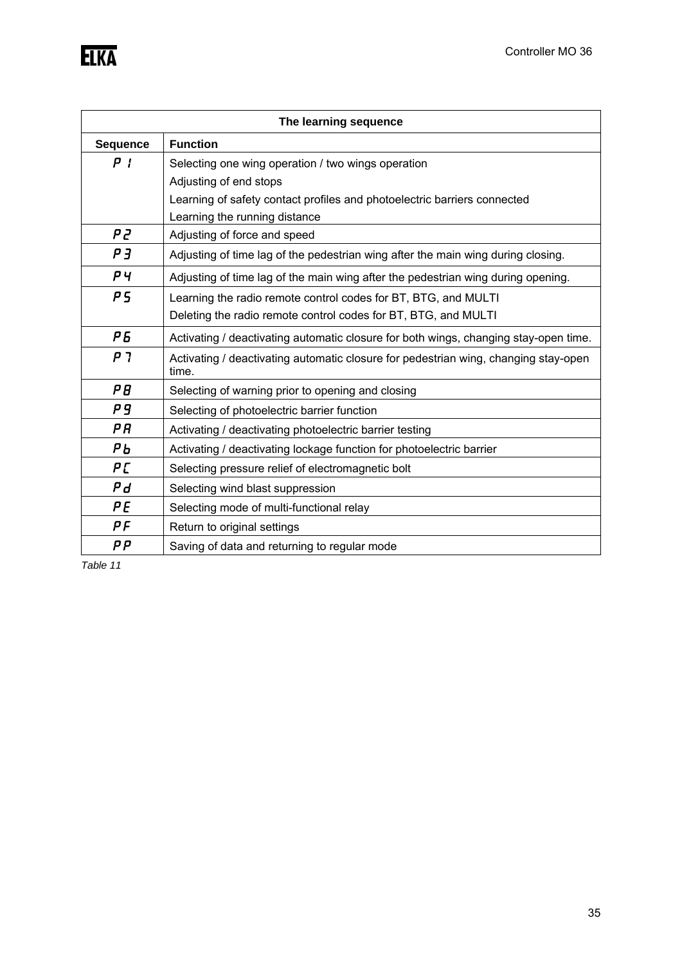|                 | The learning sequence                                                                        |
|-----------------|----------------------------------------------------------------------------------------------|
| <b>Sequence</b> | <b>Function</b>                                                                              |
| P I             | Selecting one wing operation / two wings operation                                           |
|                 | Adjusting of end stops                                                                       |
|                 | Learning of safety contact profiles and photoelectric barriers connected                     |
|                 | Learning the running distance                                                                |
| P2              | Adjusting of force and speed                                                                 |
| PЗ              | Adjusting of time lag of the pedestrian wing after the main wing during closing.             |
| РЧ              | Adjusting of time lag of the main wing after the pedestrian wing during opening.             |
| P5              | Learning the radio remote control codes for BT, BTG, and MULTI                               |
|                 | Deleting the radio remote control codes for BT, BTG, and MULTI                               |
| P <sub>5</sub>  | Activating / deactivating automatic closure for both wings, changing stay-open time.         |
| P 7             | Activating / deactivating automatic closure for pedestrian wing, changing stay-open<br>time. |
| ΡB              | Selecting of warning prior to opening and closing                                            |
| P9              | Selecting of photoelectric barrier function                                                  |
| ΡR              | Activating / deactivating photoelectric barrier testing                                      |
| РЬ              | Activating / deactivating lockage function for photoelectric barrier                         |
| PΓ              | Selecting pressure relief of electromagnetic bolt                                            |
| Ρd              | Selecting wind blast suppression                                                             |
| ΡE              | Selecting mode of multi-functional relay                                                     |
| ΡF              | Return to original settings                                                                  |
| PΡ              | Saving of data and returning to regular mode                                                 |

*Table 11*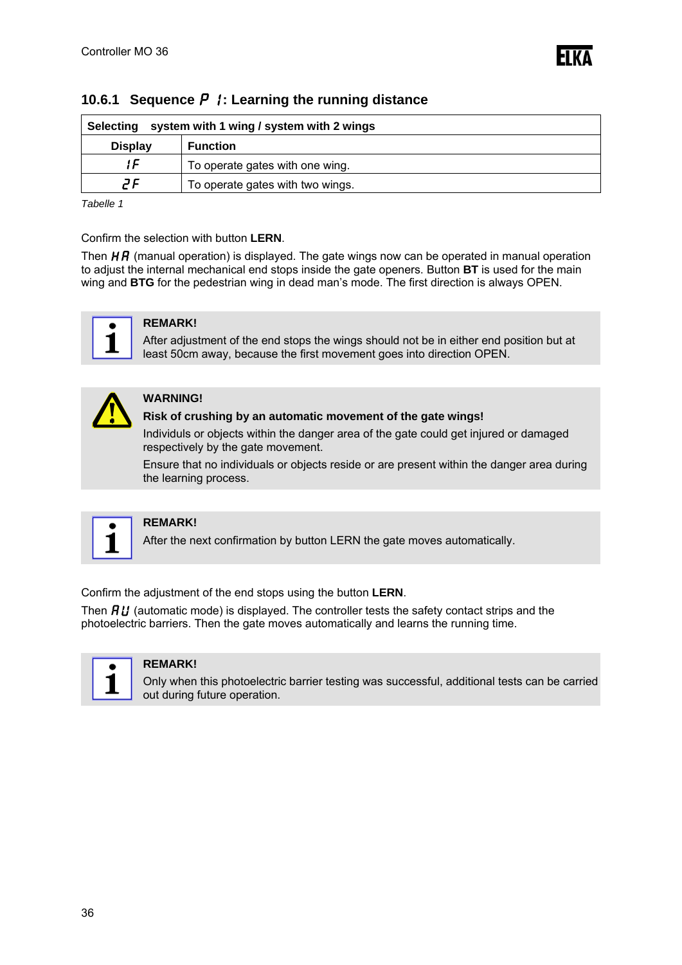

| system with 1 wing / system with 2 wings<br>Selecting |  |  |
|-------------------------------------------------------|--|--|
| <b>Display</b><br><b>Function</b>                     |  |  |
| ! ⊑<br>To operate gates with one wing.                |  |  |
| ٦F<br>To operate gates with two wings.                |  |  |

#### **10.6.1 Sequence P** *l*: Learning the running distance

*Tabelle 1*

#### Confirm the selection with button **LERN**.

Then  $H\bar{H}$  (manual operation) is displayed. The gate wings now can be operated in manual operation to adjust the internal mechanical end stops inside the gate openers. Button **BT** is used for the main wing and **BTG** for the pedestrian wing in dead man's mode. The first direction is always OPEN.



#### **REMARK!**

After adjustment of the end stops the wings should not be in either end position but at least 50cm away, because the first movement goes into direction OPEN.



#### **WARNING!**

#### **Risk of crushing by an automatic movement of the gate wings!**

Individuls or objects within the danger area of the gate could get injured or damaged respectively by the gate movement.

Ensure that no individuals or objects reside or are present within the danger area during the learning process.



#### **REMARK!**

After the next confirmation by button LERN the gate moves automatically.

Confirm the adjustment of the end stops using the button **LERN**.

Then  $\hat{H}U$  (automatic mode) is displayed. The controller tests the safety contact strips and the photoelectric barriers. Then the gate moves automatically and learns the running time.



#### **REMARK!**

Only when this photoelectric barrier testing was successful, additional tests can be carried out during future operation.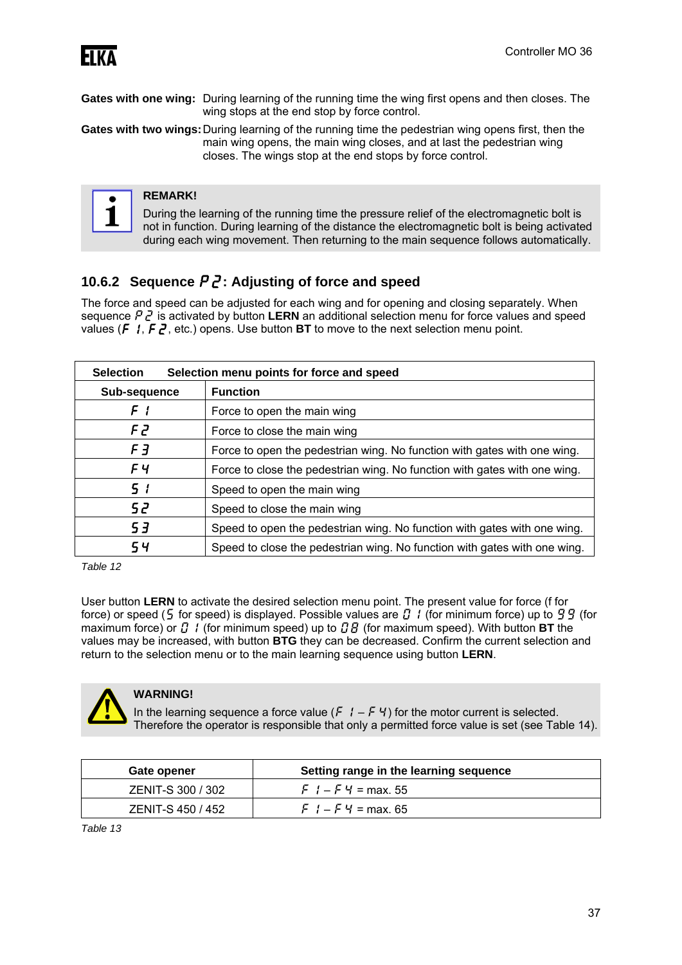

**Gates with one wing:** During learning of the running time the wing first opens and then closes. The wing stops at the end stop by force control.

**Gates with two wings:** During learning of the running time the pedestrian wing opens first, then the main wing opens, the main wing closes, and at last the pedestrian wing closes. The wings stop at the end stops by force control.



#### **REMARK!**

During the learning of the running time the pressure relief of the electromagnetic bolt is not in function. During learning of the distance the electromagnetic bolt is being activated during each wing movement. Then returning to the main sequence follows automatically.

### **10.6.2 Sequence** p2**: Adjusting of force and speed**

The force and speed can be adjusted for each wing and for opening and closing separately. When sequence  $P_1$  is activated by button **LERN** an additional selection menu for force values and speed values  $(F, I, F, Z)$ , etc.) opens. Use button **BT** to move to the next selection menu point.

| <b>Selection</b><br>Selection menu points for force and speed |                                                                           |
|---------------------------------------------------------------|---------------------------------------------------------------------------|
| Sub-sequence                                                  | <b>Function</b>                                                           |
| F I                                                           | Force to open the main wing                                               |
| F 2                                                           | Force to close the main wing                                              |
| F 3                                                           | Force to open the pedestrian wing. No function with gates with one wing.  |
| FЧ                                                            | Force to close the pedestrian wing. No function with gates with one wing. |
| 51                                                            | Speed to open the main wing                                               |
| 52                                                            | Speed to close the main wing                                              |
| 53                                                            | Speed to open the pedestrian wing. No function with gates with one wing.  |
| 54                                                            | Speed to close the pedestrian wing. No function with gates with one wing. |

*Table 12* 

User button **LERN** to activate the desired selection menu point. The present value for force (f for force) or speed (5 for speed) is displayed. Possible values are  $\Omega$  / (for minimum force) up to  $99$  (for maximum force) or  $\vec{a}$  / (for minimum speed) up to  $\vec{a}$   $\vec{b}$  (for maximum speed). With button **BT** the values may be increased, with button **BTG** they can be decreased. Confirm the current selection and return to the selection menu or to the main learning sequence using button **LERN**.



#### **WARNING!**

In the learning sequence a force value ( $\frac{1}{2}$  –  $\frac{1}{2}$  +  $\frac{1}{2}$ ) for the motor current is selected. Therefore the operator is responsible that only a permitted force value is set (see Table 14).

| Gate opener       | Setting range in the learning sequence |
|-------------------|----------------------------------------|
| ZENIT-S 300 / 302 | $F$ $I - F$ $H = \text{max}$ . 55      |
| ZENIT-S 450 / 452 | $F_1 - F_2 = \text{max. } 65$          |

*Table 13*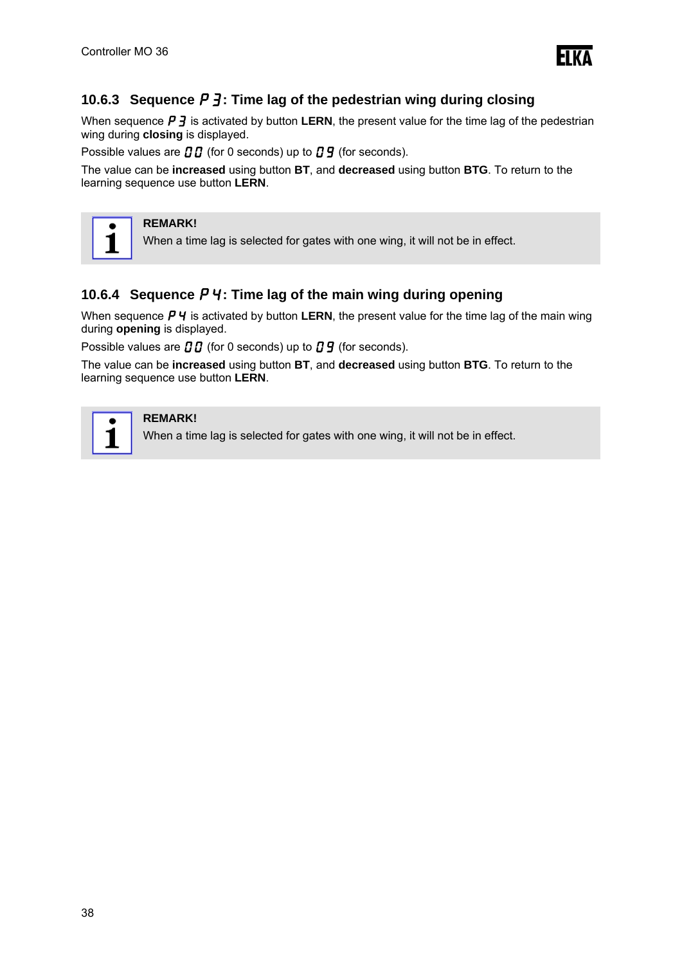

### **10.6.3** Sequence  $\boldsymbol{P}$   $\boldsymbol{\cdot}$   $\boldsymbol{\cdot}$  Time lag of the pedestrian wing during closing

When sequence  $\boldsymbol{P}$   $\boldsymbol{\cdot}$  is activated by button **LERN**, the present value for the time lag of the pedestrian wing during **closing** is displayed.

Possible values are  $\iota \iota \iota$  (for 0 seconds) up to  $\iota \iota \iota$  (for seconds).

The value can be **increased** using button **BT**, and **decreased** using button **BTG**. To return to the learning sequence use button **LERN**.



#### **REMARK!**

When a time lag is selected for gates with one wing, it will not be in effect.

### **10.6.4 Sequence P4: Time lag of the main wing during opening**

When sequence  $\boldsymbol{P}$  is activated by button **LERN**, the present value for the time lag of the main wing during **opening** is displayed.

Possible values are  $\prod \Gamma$  (for 0 seconds) up to  $\prod \Gamma$  (for seconds).

The value can be **increased** using button **BT**, and **decreased** using button **BTG**. To return to the learning sequence use button **LERN**.



#### **REMARK!**

When a time lag is selected for gates with one wing, it will not be in effect.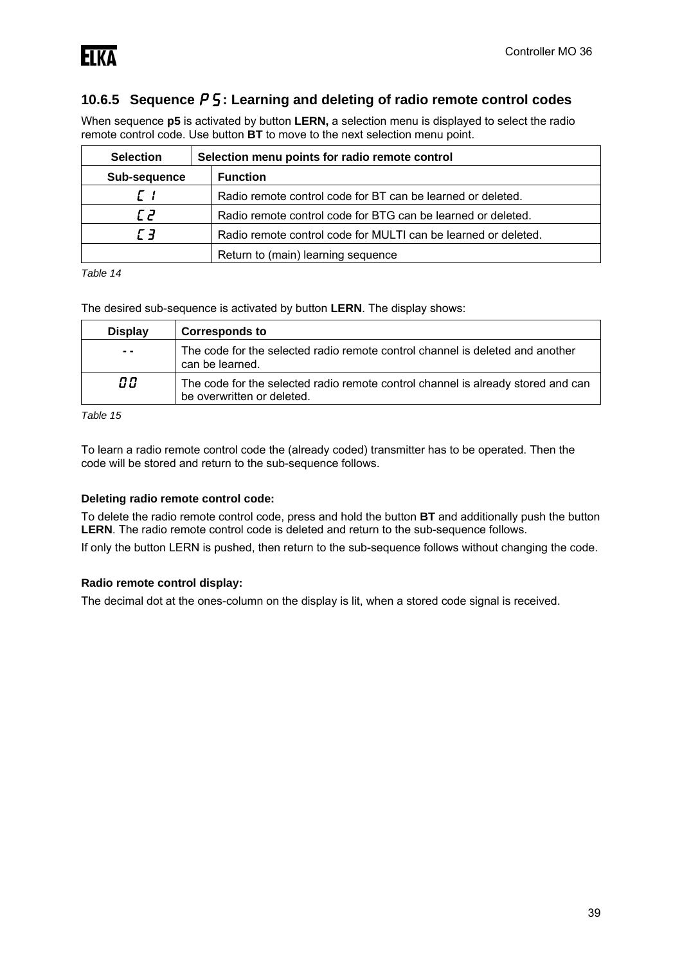### **10.6.5 Sequence**  $P_5$ **: Learning and deleting of radio remote control codes**

When sequence **p5** is activated by button **LERN,** a selection menu is displayed to select the radio remote control code. Use button **BT** to move to the next selection menu point.

| <b>Selection</b> | Selection menu points for radio remote control                 |  |
|------------------|----------------------------------------------------------------|--|
| Sub-sequence     | <b>Function</b>                                                |  |
| Г 1              | Radio remote control code for BT can be learned or deleted.    |  |
| E 2.             | Radio remote control code for BTG can be learned or deleted.   |  |
| г э              | Radio remote control code for MULTI can be learned or deleted. |  |
|                  | Return to (main) learning sequence                             |  |

*Table 14* 

The desired sub-sequence is activated by button **LERN**. The display shows:

| <b>Display</b>               | <b>Corresponds to</b>                                                                                          |
|------------------------------|----------------------------------------------------------------------------------------------------------------|
| $\qquad \qquad \blacksquare$ | The code for the selected radio remote control channel is deleted and another<br>can be learned.               |
| 00                           | The code for the selected radio remote control channel is already stored and can<br>be overwritten or deleted. |

*Table 15* 

To learn a radio remote control code the (already coded) transmitter has to be operated. Then the code will be stored and return to the sub-sequence follows.

#### **Deleting radio remote control code:**

To delete the radio remote control code, press and hold the button **BT** and additionally push the button **LERN**. The radio remote control code is deleted and return to the sub-sequence follows. If only the button LERN is pushed, then return to the sub-sequence follows without changing the code.

#### **Radio remote control display:**

The decimal dot at the ones-column on the display is lit, when a stored code signal is received.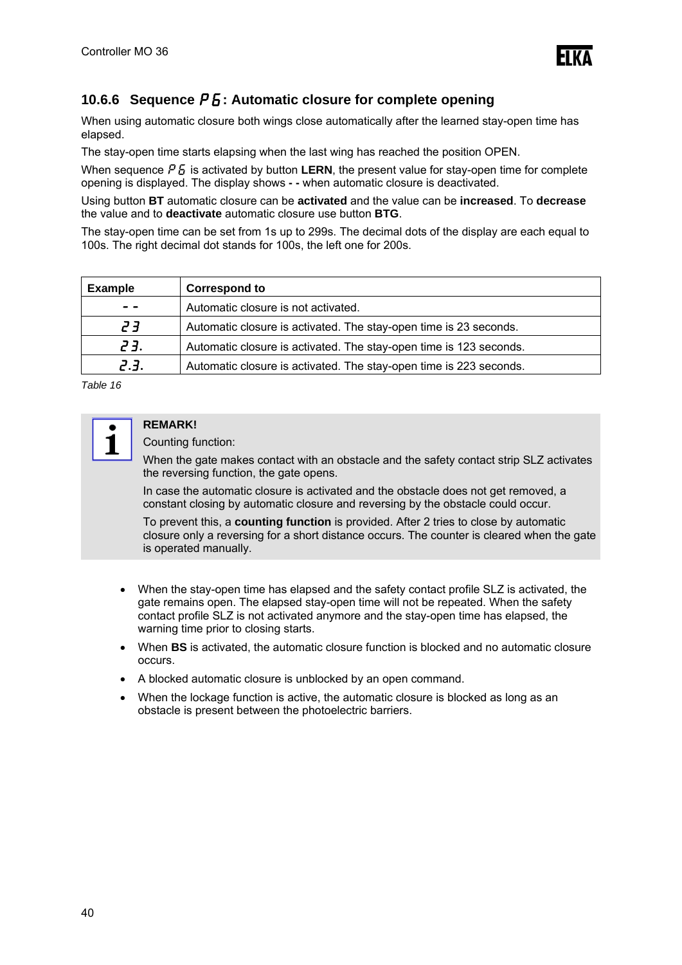

### **10.6.6 Sequence**  $P_5$ **: Automatic closure for complete opening**

When using automatic closure both wings close automatically after the learned stay-open time has elapsed.

The stay-open time starts elapsing when the last wing has reached the position OPEN.

When sequence  $P_5$  is activated by button **LERN**, the present value for stay-open time for complete opening is displayed. The display shows **- -** when automatic closure is deactivated.

Using button **BT** automatic closure can be **activated** and the value can be **increased**. To **decrease** the value and to **deactivate** automatic closure use button **BTG**.

The stay-open time can be set from 1s up to 299s. The decimal dots of the display are each equal to 100s. The right decimal dot stands for 100s, the left one for 200s.

| <b>Example</b> | <b>Correspond to</b>                                               |
|----------------|--------------------------------------------------------------------|
| - -            | Automatic closure is not activated.                                |
| E 5,           | Automatic closure is activated. The stay-open time is 23 seconds.  |
| 23.            | Automatic closure is activated. The stay-open time is 123 seconds. |
| 2.3.           | Automatic closure is activated. The stay-open time is 223 seconds. |

*Table 16* 



## **REMARK!**

Counting function:

When the gate makes contact with an obstacle and the safety contact strip SLZ activates the reversing function, the gate opens.

In case the automatic closure is activated and the obstacle does not get removed, a constant closing by automatic closure and reversing by the obstacle could occur.

To prevent this, a **counting function** is provided. After 2 tries to close by automatic closure only a reversing for a short distance occurs. The counter is cleared when the gate is operated manually.

- When the stay-open time has elapsed and the safety contact profile SLZ is activated, the gate remains open. The elapsed stay-open time will not be repeated. When the safety contact profile SLZ is not activated anymore and the stay-open time has elapsed, the warning time prior to closing starts.
- When **BS** is activated, the automatic closure function is blocked and no automatic closure occurs.
- A blocked automatic closure is unblocked by an open command.
- When the lockage function is active, the automatic closure is blocked as long as an obstacle is present between the photoelectric barriers.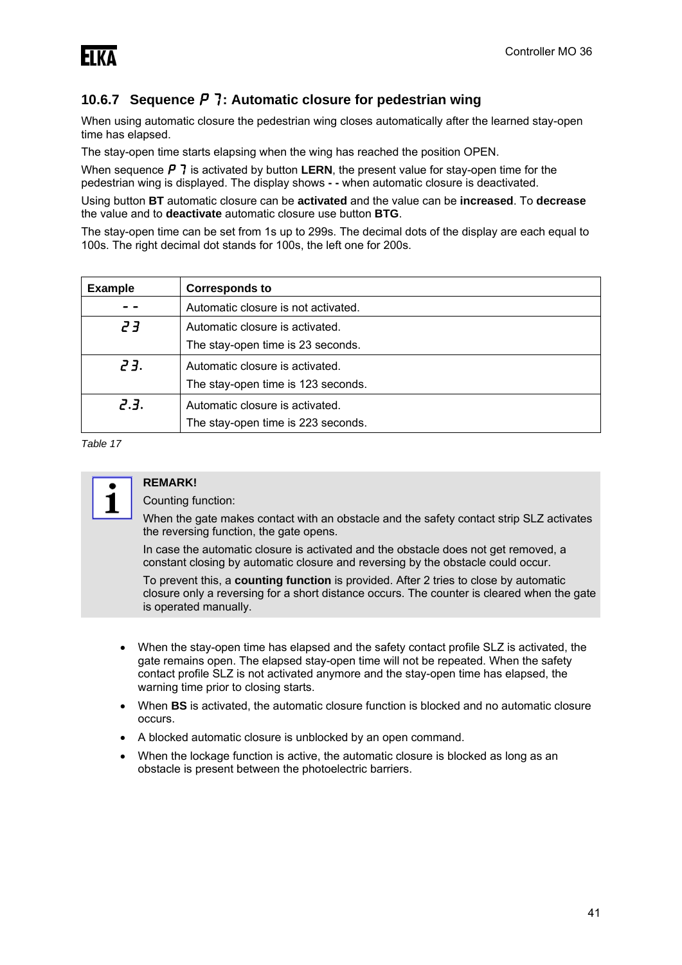### **10.6.7 Sequence** p7**: Automatic closure for pedestrian wing**

When using automatic closure the pedestrian wing closes automatically after the learned stay-open time has elapsed.

The stay-open time starts elapsing when the wing has reached the position OPEN.

When sequence  $P$  7 is activated by button **LERN**, the present value for stay-open time for the pedestrian wing is displayed. The display shows **- -** when automatic closure is deactivated.

Using button **BT** automatic closure can be **activated** and the value can be **increased**. To **decrease** the value and to **deactivate** automatic closure use button **BTG**.

The stay-open time can be set from 1s up to 299s. The decimal dots of the display are each equal to 100s. The right decimal dot stands for 100s, the left one for 200s.

| <b>Example</b> | <b>Corresponds to</b>               |  |
|----------------|-------------------------------------|--|
|                | Automatic closure is not activated. |  |
| ך ק            | Automatic closure is activated.     |  |
|                | The stay-open time is 23 seconds.   |  |
| 23.            | Automatic closure is activated.     |  |
|                | The stay-open time is 123 seconds.  |  |
| 2.3.           | Automatic closure is activated.     |  |
|                | The stay-open time is 223 seconds.  |  |

*Table 17* 



### **REMARK!**

Counting function:

When the gate makes contact with an obstacle and the safety contact strip SLZ activates the reversing function, the gate opens.

In case the automatic closure is activated and the obstacle does not get removed, a constant closing by automatic closure and reversing by the obstacle could occur.

To prevent this, a **counting function** is provided. After 2 tries to close by automatic closure only a reversing for a short distance occurs. The counter is cleared when the gate is operated manually.

- When the stay-open time has elapsed and the safety contact profile SLZ is activated, the gate remains open. The elapsed stay-open time will not be repeated. When the safety contact profile SLZ is not activated anymore and the stay-open time has elapsed, the warning time prior to closing starts.
- When **BS** is activated, the automatic closure function is blocked and no automatic closure occurs.
- A blocked automatic closure is unblocked by an open command.
- When the lockage function is active, the automatic closure is blocked as long as an obstacle is present between the photoelectric barriers.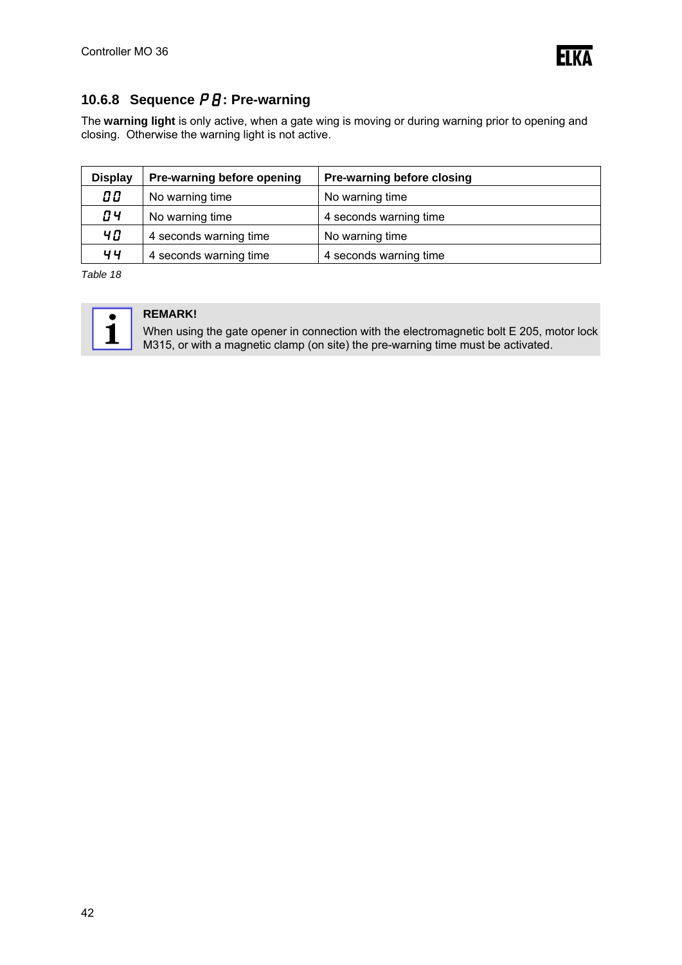

## **10.6.8 Sequence**  $PB$ **: Pre-warning**

The **warning light** is only active, when a gate wing is moving or during warning prior to opening and closing. Otherwise the warning light is not active.

| <b>Display</b> | Pre-warning before opening | Pre-warning before closing |
|----------------|----------------------------|----------------------------|
| 00             | No warning time            | No warning time            |
| <b>O4</b>      | No warning time            | 4 seconds warning time     |
| 40             | 4 seconds warning time     | No warning time            |
| 44             | 4 seconds warning time     | 4 seconds warning time     |

*Table 18* 



### **REMARK!**

When using the gate opener in connection with the electromagnetic bolt E 205, motor lock M315, or with a magnetic clamp (on site) the pre-warning time must be activated.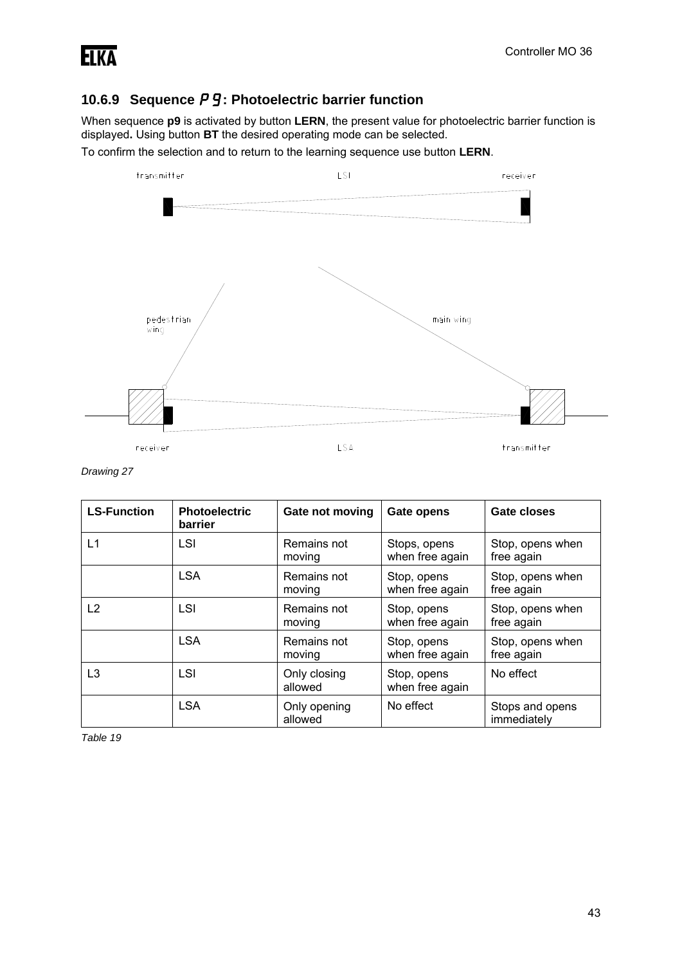

## **10.6.9 Sequence P 9: Photoelectric barrier function**

When sequence **p9** is activated by button **LERN**, the present value for photoelectric barrier function is displayed**.** Using button **BT** the desired operating mode can be selected.

To confirm the selection and to return to the learning sequence use button **LERN**.



*Drawing 27* 

| <b>LS-Function</b> | <b>Photoelectric</b><br>barrier | Gate not moving         | Gate opens                      | Gate closes                    |
|--------------------|---------------------------------|-------------------------|---------------------------------|--------------------------------|
| L1                 | LSI                             | Remains not<br>moving   | Stops, opens<br>when free again | Stop, opens when<br>free again |
|                    | <b>LSA</b>                      | Remains not<br>moving   | Stop, opens<br>when free again  | Stop, opens when<br>free again |
| L2                 | LSI                             | Remains not<br>moving   | Stop, opens<br>when free again  | Stop, opens when<br>free again |
|                    | <b>LSA</b>                      | Remains not<br>moving   | Stop, opens<br>when free again  | Stop, opens when<br>free again |
| L3                 | LSI                             | Only closing<br>allowed | Stop, opens<br>when free again  | No effect                      |
|                    | <b>LSA</b>                      | Only opening<br>allowed | No effect                       | Stops and opens<br>immediately |

*Table 19*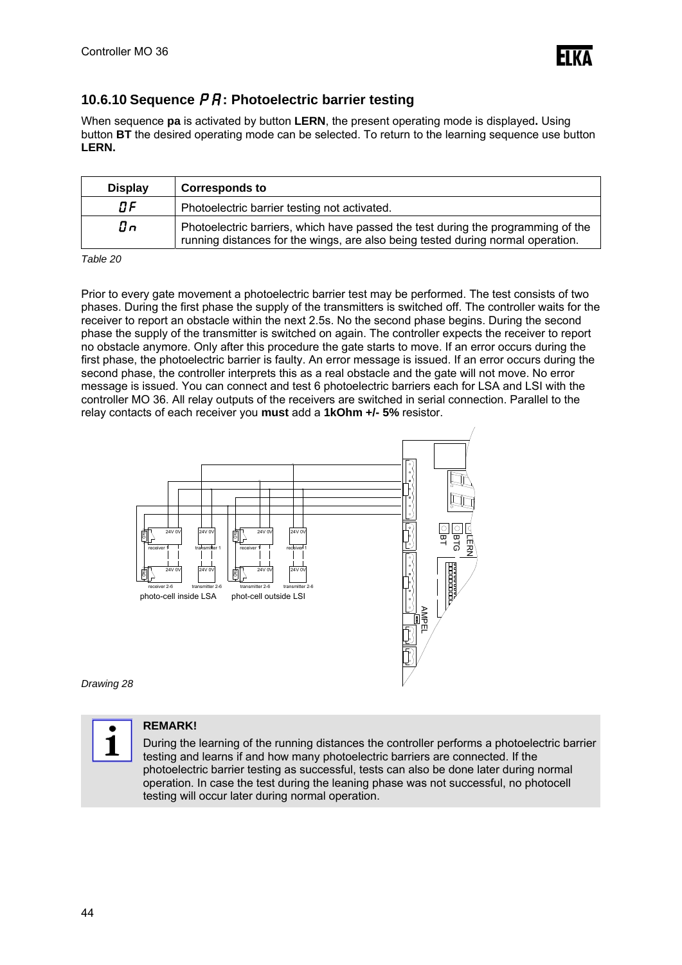

### **10.6.10 Sequence**  $\overline{P}R$ **: Photoelectric barrier testing**

When sequence **pa** is activated by button **LERN**, the present operating mode is displayed**.** Using button **BT** the desired operating mode can be selected. To return to the learning sequence use button **LERN.** 

| <b>Display</b> | <b>Corresponds to</b>                                                                                                                                               |
|----------------|---------------------------------------------------------------------------------------------------------------------------------------------------------------------|
| 0F             | Photoelectric barrier testing not activated.                                                                                                                        |
| On             | Photoelectric barriers, which have passed the test during the programming of the<br>running distances for the wings, are also being tested during normal operation. |

*Table 20* 

Prior to every gate movement a photoelectric barrier test may be performed. The test consists of two phases. During the first phase the supply of the transmitters is switched off. The controller waits for the receiver to report an obstacle within the next 2.5s. No the second phase begins. During the second phase the supply of the transmitter is switched on again. The controller expects the receiver to report no obstacle anymore. Only after this procedure the gate starts to move. If an error occurs during the first phase, the photoelectric barrier is faulty. An error message is issued. If an error occurs during the second phase, the controller interprets this as a real obstacle and the gate will not move. No error message is issued. You can connect and test 6 photoelectric barriers each for LSA and LSI with the controller MO 36. All relay outputs of the receivers are switched in serial connection. Parallel to the relay contacts of each receiver you **must** add a **1kOhm +/- 5%** resistor.



*Drawing 28*



#### **REMARK!**

During the learning of the running distances the controller performs a photoelectric barrier testing and learns if and how many photoelectric barriers are connected. If the photoelectric barrier testing as successful, tests can also be done later during normal operation. In case the test during the leaning phase was not successful, no photocell testing will occur later during normal operation.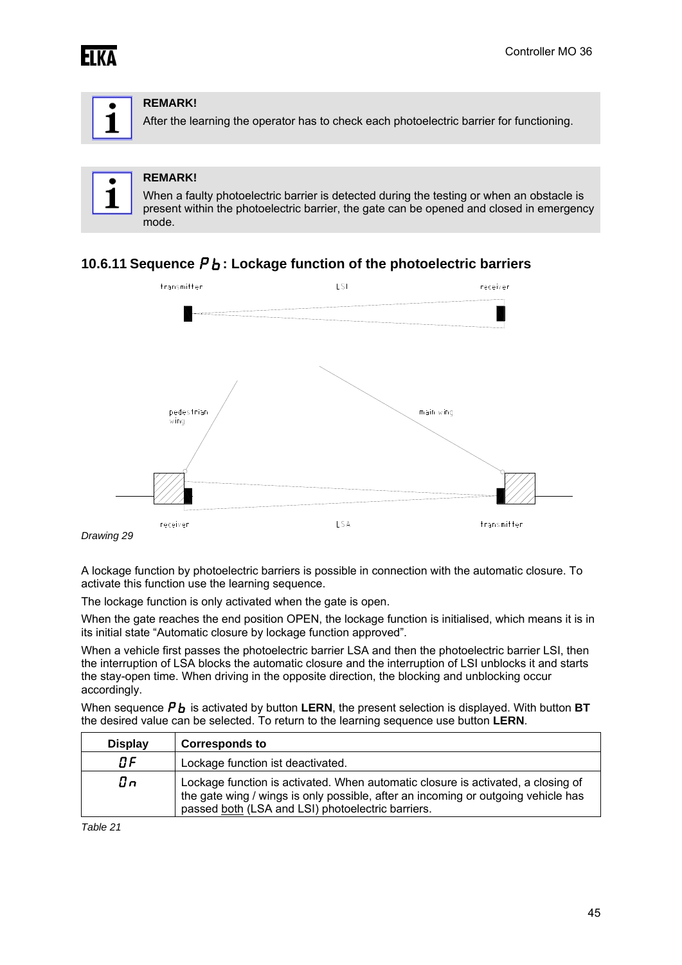



#### **REMARK!**

After the learning the operator has to check each photoelectric barrier for functioning.

#### **REMARK!**

When a faulty photoelectric barrier is detected during the testing or when an obstacle is present within the photoelectric barrier, the gate can be opened and closed in emergency mode.

### **10.6.11 Sequence**  $P_b$ **: Lockage function of the photoelectric barriers**



A lockage function by photoelectric barriers is possible in connection with the automatic closure. To activate this function use the learning sequence.

The lockage function is only activated when the gate is open.

When the gate reaches the end position OPEN, the lockage function is initialised, which means it is in its initial state "Automatic closure by lockage function approved".

When a vehicle first passes the photoelectric barrier LSA and then the photoelectric barrier LSI, then the interruption of LSA blocks the automatic closure and the interruption of LSI unblocks it and starts the stay-open time. When driving in the opposite direction, the blocking and unblocking occur accordingly.

When sequence  $\boldsymbol{P}_{b}$  is activated by button **LERN**, the present selection is displayed. With button **BT** the desired value can be selected. To return to the learning sequence use button **LERN**.

| <b>Display</b>  | <b>Corresponds to</b>                                                                                                                                                                                                      |
|-----------------|----------------------------------------------------------------------------------------------------------------------------------------------------------------------------------------------------------------------------|
| 0F              | Lockage function ist deactivated.                                                                                                                                                                                          |
| $\mathcal{G}$ n | Lockage function is activated. When automatic closure is activated, a closing of<br>the gate wing / wings is only possible, after an incoming or outgoing vehicle has<br>passed both (LSA and LSI) photoelectric barriers. |

*Table 21*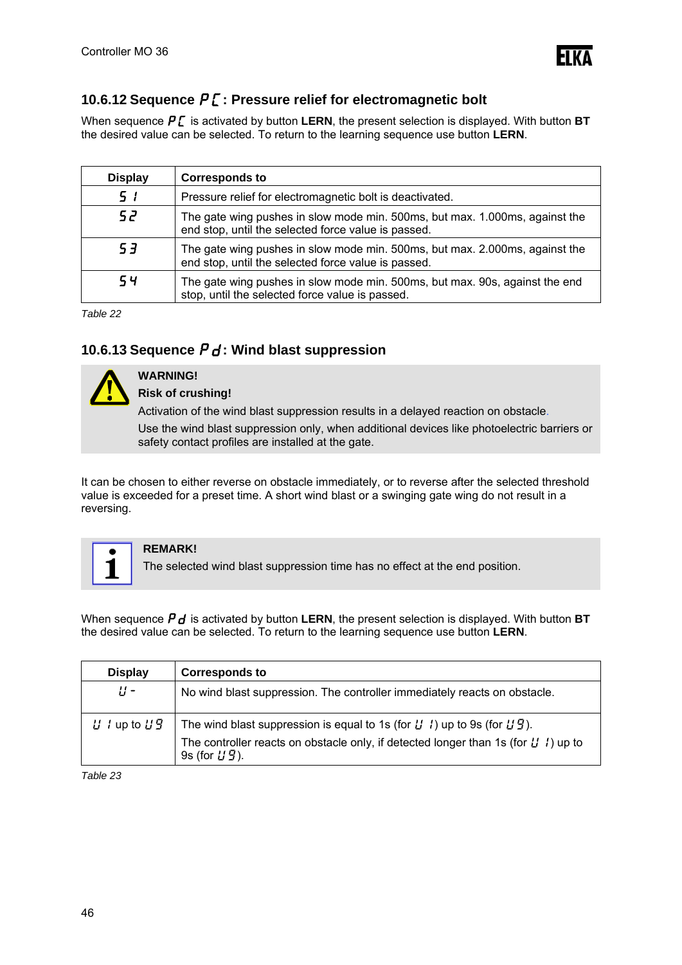

### **10.6.12 Sequence**  $P\mathcal{L}$ **: Pressure relief for electromagnetic bolt**

When sequence  $\boldsymbol{P} \boldsymbol{\zeta}$  is activated by button **LERN**, the present selection is displayed. With button **BT** the desired value can be selected. To return to the learning sequence use button **LERN**.

| <b>Display</b> | <b>Corresponds to</b>                                                                                                              |  |
|----------------|------------------------------------------------------------------------------------------------------------------------------------|--|
| 5 <sub>1</sub> | Pressure relief for electromagnetic bolt is deactivated.                                                                           |  |
| 52             | The gate wing pushes in slow mode min. 500ms, but max. 1.000ms, against the<br>end stop, until the selected force value is passed. |  |
| 53             | The gate wing pushes in slow mode min. 500ms, but max. 2.000ms, against the<br>end stop, until the selected force value is passed. |  |
| 54             | The gate wing pushes in slow mode min. 500ms, but max. 90s, against the end<br>stop, until the selected force value is passed.     |  |

*Table 22* 

### 10.6.13 Sequence  $P d$ : Wind blast suppression



#### **WARNING! Risk of crushing!**

Activation of the wind blast suppression results in a delayed reaction on obstacle.

Use the wind blast suppression only, when additional devices like photoelectric barriers or safety contact profiles are installed at the gate.

It can be chosen to either reverse on obstacle immediately, or to reverse after the selected threshold value is exceeded for a preset time. A short wind blast or a swinging gate wing do not result in a reversing.



#### **REMARK!**

The selected wind blast suppression time has no effect at the end position.

When sequence  $P_d$  is activated by button LERN, the present selection is displayed. With button **BT** the desired value can be selected. To return to the learning sequence use button **LERN**.

| <b>Display</b>    | <b>Corresponds to</b>                                                                                                                                                                         |
|-------------------|-----------------------------------------------------------------------------------------------------------------------------------------------------------------------------------------------|
| ប្ប -             | No wind blast suppression. The controller immediately reacts on obstacle.                                                                                                                     |
| $U$ / up to $U_1$ | The wind blast suppression is equal to 1s (for $U(1)$ ) up to 9s (for $U(2)$ ).<br>The controller reacts on obstacle only, if detected longer than 1s (for $U_1$ ) up to<br>9s (for $L(g)$ ). |

*Table 23*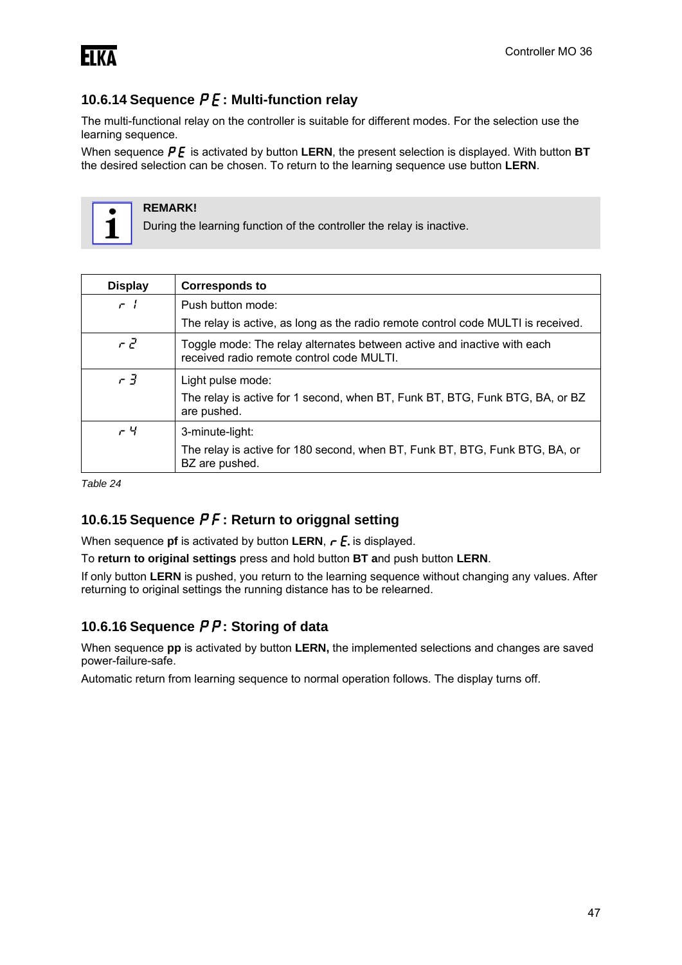

### **10.6.14 Sequence**  $P\vec{E}$ **: Multi-function relay**

The multi-functional relay on the controller is suitable for different modes. For the selection use the learning sequence.

When sequence  $\boldsymbol{P}$  **E** is activated by button **LERN**, the present selection is displayed. With button **BT** the desired selection can be chosen. To return to the learning sequence use button **LERN**.



#### **REMARK!**

During the learning function of the controller the relay is inactive.

| <b>Display</b>              | <b>Corresponds to</b>                                                                                                |
|-----------------------------|----------------------------------------------------------------------------------------------------------------------|
| $\mathcal{L}$ $\mathcal{L}$ | Push button mode:                                                                                                    |
|                             | The relay is active, as long as the radio remote control code MULTI is received.                                     |
| $r \in$                     | Toggle mode: The relay alternates between active and inactive with each<br>received radio remote control code MULTI. |
| $r\bar{d}$                  | Light pulse mode:                                                                                                    |
|                             | The relay is active for 1 second, when BT, Funk BT, BTG, Funk BTG, BA, or BZ<br>are pushed.                          |
| $-4$                        | 3-minute-light:                                                                                                      |
|                             | The relay is active for 180 second, when BT, Funk BT, BTG, Funk BTG, BA, or<br>BZ are pushed.                        |

*Table 24* 

### **10.6.15 Sequence**  $P$  **F: Return to origgnal setting**

When sequence **pf** is activated by button **LERN**,  $\mathbf{r} \mathbf{E}$  is displayed.

To **return to original settings** press and hold button **BT a**nd push button **LERN**.

If only button **LERN** is pushed, you return to the learning sequence without changing any values. After returning to original settings the running distance has to be relearned.

### **10.6.16 Sequence**  $\overline{P}P$ **: Storing of data**

When sequence **pp** is activated by button **LERN,** the implemented selections and changes are saved power-failure-safe.

Automatic return from learning sequence to normal operation follows. The display turns off.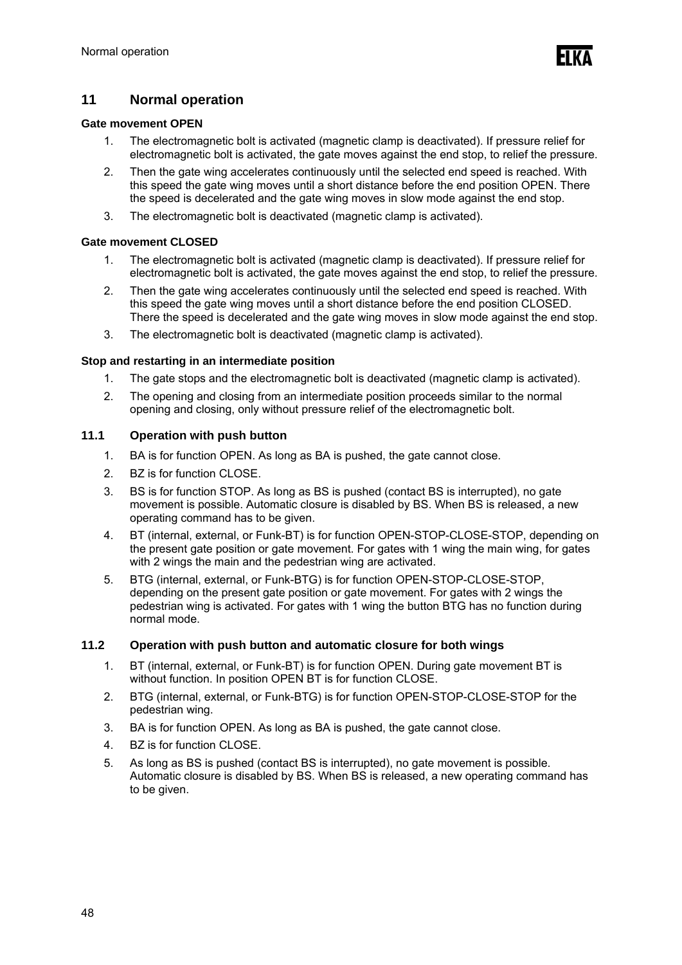### **11 Normal operation**

#### **Gate movement OPEN**

- 1. The electromagnetic bolt is activated (magnetic clamp is deactivated). If pressure relief for electromagnetic bolt is activated, the gate moves against the end stop, to relief the pressure.
- 2. Then the gate wing accelerates continuously until the selected end speed is reached. With this speed the gate wing moves until a short distance before the end position OPEN. There the speed is decelerated and the gate wing moves in slow mode against the end stop.
- 3. The electromagnetic bolt is deactivated (magnetic clamp is activated).

#### **Gate movement CLOSED**

- 1. The electromagnetic bolt is activated (magnetic clamp is deactivated). If pressure relief for electromagnetic bolt is activated, the gate moves against the end stop, to relief the pressure.
- 2. Then the gate wing accelerates continuously until the selected end speed is reached. With this speed the gate wing moves until a short distance before the end position CLOSED. There the speed is decelerated and the gate wing moves in slow mode against the end stop.
- 3. The electromagnetic bolt is deactivated (magnetic clamp is activated).

#### **Stop and restarting in an intermediate position**

- 1. The gate stops and the electromagnetic bolt is deactivated (magnetic clamp is activated).
- 2. The opening and closing from an intermediate position proceeds similar to the normal opening and closing, only without pressure relief of the electromagnetic bolt.

#### **11.1 Operation with push button**

- 1. BA is for function OPEN. As long as BA is pushed, the gate cannot close.
- 2. BZ is for function CLOSE.
- 3. BS is for function STOP. As long as BS is pushed (contact BS is interrupted), no gate movement is possible. Automatic closure is disabled by BS. When BS is released, a new operating command has to be given.
- 4. BT (internal, external, or Funk-BT) is for function OPEN-STOP-CLOSE-STOP, depending on the present gate position or gate movement. For gates with 1 wing the main wing, for gates with 2 wings the main and the pedestrian wing are activated.
- 5. BTG (internal, external, or Funk-BTG) is for function OPEN-STOP-CLOSE-STOP, depending on the present gate position or gate movement. For gates with 2 wings the pedestrian wing is activated. For gates with 1 wing the button BTG has no function during normal mode.

#### **11.2 Operation with push button and automatic closure for both wings**

- 1. BT (internal, external, or Funk-BT) is for function OPEN. During gate movement BT is without function. In position OPEN BT is for function CLOSE.
- 2. BTG (internal, external, or Funk-BTG) is for function OPEN-STOP-CLOSE-STOP for the pedestrian wing.
- 3. BA is for function OPEN. As long as BA is pushed, the gate cannot close.
- 4. BZ is for function CLOSE.
- 5. As long as BS is pushed (contact BS is interrupted), no gate movement is possible. Automatic closure is disabled by BS. When BS is released, a new operating command has to be given.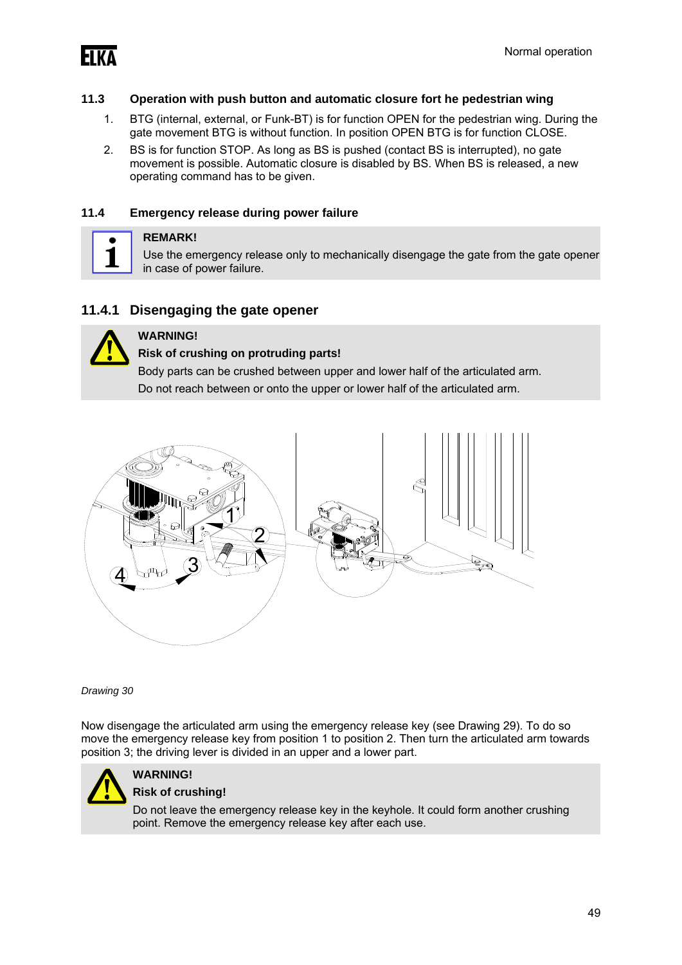

#### **11.3 Operation with push button and automatic closure fort he pedestrian wing**

- 1. BTG (internal, external, or Funk-BT) is for function OPEN for the pedestrian wing. During the gate movement BTG is without function. In position OPEN BTG is for function CLOSE.
- 2. BS is for function STOP. As long as BS is pushed (contact BS is interrupted), no gate movement is possible. Automatic closure is disabled by BS. When BS is released, a new operating command has to be given.

#### **11.4 Emergency release during power failure**



#### **REMARK!**

Use the emergency release only to mechanically disengage the gate from the gate opener in case of power failure.

#### **11.4.1 Disengaging the gate opener**



### **WARNING!**

#### **Risk of crushing on protruding parts!**

Body parts can be crushed between upper and lower half of the articulated arm. Do not reach between or onto the upper or lower half of the articulated arm.



*Drawing 30* 

Now disengage the articulated arm using the emergency release key (see Drawing 29). To do so move the emergency release key from position 1 to position 2. Then turn the articulated arm towards position 3; the driving lever is divided in an upper and a lower part.



### **WARNING!**

#### **Risk of crushing!**

Do not leave the emergency release key in the keyhole. It could form another crushing point. Remove the emergency release key after each use.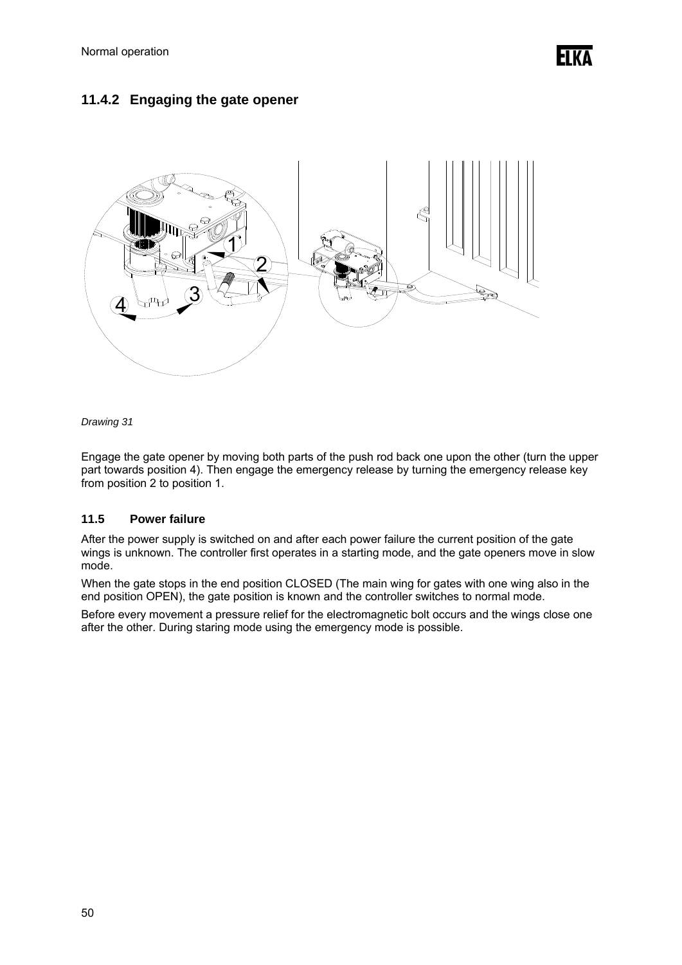### **11.4.2 Engaging the gate opener**



*Drawing 31* 

Engage the gate opener by moving both parts of the push rod back one upon the other (turn the upper part towards position 4). Then engage the emergency release by turning the emergency release key from position 2 to position 1.

#### **11.5 Power failure**

After the power supply is switched on and after each power failure the current position of the gate wings is unknown. The controller first operates in a starting mode, and the gate openers move in slow mode.

When the gate stops in the end position CLOSED (The main wing for gates with one wing also in the end position OPEN), the gate position is known and the controller switches to normal mode.

Before every movement a pressure relief for the electromagnetic bolt occurs and the wings close one after the other. During staring mode using the emergency mode is possible.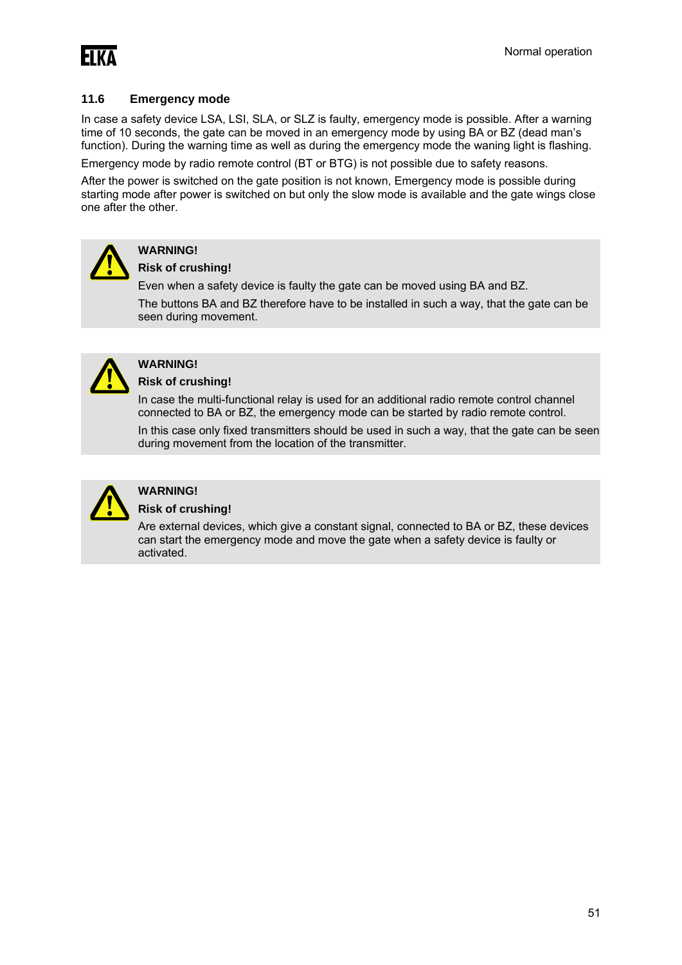

#### **11.6 Emergency mode**

In case a safety device LSA, LSI, SLA, or SLZ is faulty, emergency mode is possible. After a warning time of 10 seconds, the gate can be moved in an emergency mode by using BA or BZ (dead man's function). During the warning time as well as during the emergency mode the waning light is flashing.

Emergency mode by radio remote control (BT or BTG) is not possible due to safety reasons.

After the power is switched on the gate position is not known, Emergency mode is possible during starting mode after power is switched on but only the slow mode is available and the gate wings close one after the other.



### **WARNING!**

#### **Risk of crushing!**

Even when a safety device is faulty the gate can be moved using BA and BZ.

The buttons BA and BZ therefore have to be installed in such a way, that the gate can be seen during movement.



### **WARNING!**

**Risk of crushing!** 

In case the multi-functional relay is used for an additional radio remote control channel connected to BA or BZ, the emergency mode can be started by radio remote control.

In this case only fixed transmitters should be used in such a way, that the gate can be seen during movement from the location of the transmitter.



#### **WARNING!**

#### **Risk of crushing!**

Are external devices, which give a constant signal, connected to BA or BZ, these devices can start the emergency mode and move the gate when a safety device is faulty or activated.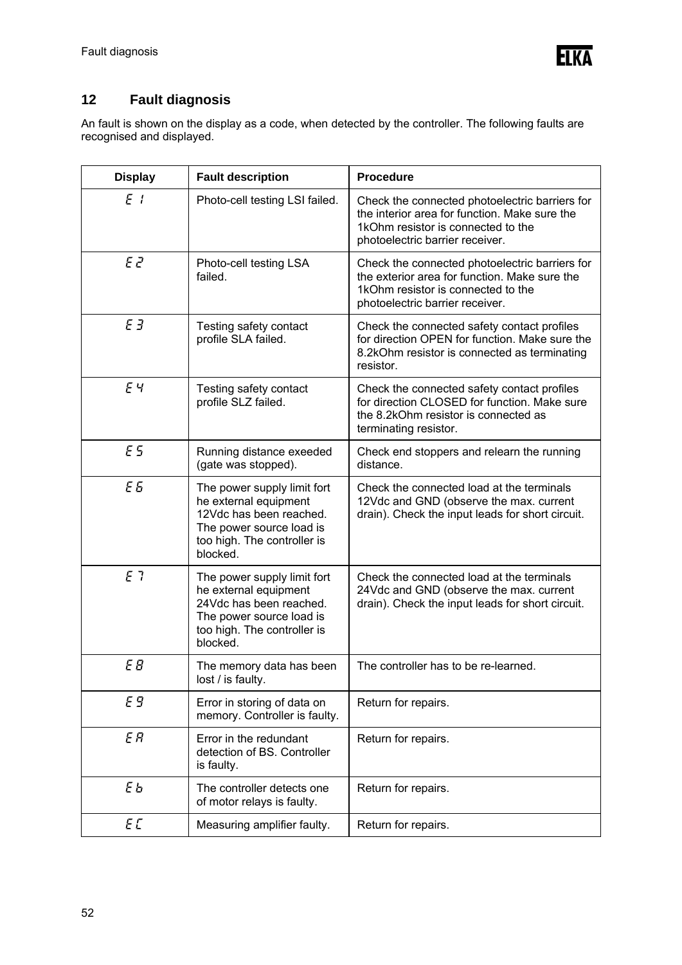

### **12 Fault diagnosis**

An fault is shown on the display as a code, when detected by the controller. The following faults are recognised and displayed.

| <b>Display</b> | <b>Fault description</b>                                                                                                                               | <b>Procedure</b>                                                                                                                                                         |  |
|----------------|--------------------------------------------------------------------------------------------------------------------------------------------------------|--------------------------------------------------------------------------------------------------------------------------------------------------------------------------|--|
| E <sub>i</sub> | Photo-cell testing LSI failed.                                                                                                                         | Check the connected photoelectric barriers for<br>the interior area for function. Make sure the<br>1kOhm resistor is connected to the<br>photoelectric barrier receiver. |  |
| EZ             | Photo-cell testing LSA<br>failed.                                                                                                                      | Check the connected photoelectric barriers for<br>the exterior area for function. Make sure the<br>1kOhm resistor is connected to the<br>photoelectric barrier receiver. |  |
| ЕЗ             | Testing safety contact<br>profile SLA failed.                                                                                                          | Check the connected safety contact profiles<br>for direction OPEN for function. Make sure the<br>8.2kOhm resistor is connected as terminating<br>resistor.               |  |
| EЧ             | Testing safety contact<br>profile SLZ failed.                                                                                                          | Check the connected safety contact profiles<br>for direction CLOSED for function. Make sure<br>the 8.2kOhm resistor is connected as<br>terminating resistor.             |  |
| E5             | Running distance exeeded<br>(gate was stopped).                                                                                                        | Check end stoppers and relearn the running<br>distance.                                                                                                                  |  |
| E <sub>5</sub> | The power supply limit fort<br>he external equipment<br>12Vdc has been reached.<br>The power source load is<br>too high. The controller is<br>blocked. | Check the connected load at the terminals<br>12Vdc and GND (observe the max. current<br>drain). Check the input leads for short circuit.                                 |  |
| E 7            | The power supply limit fort<br>he external equipment<br>24Vdc has been reached.<br>The power source load is<br>too high. The controller is<br>blocked. | Check the connected load at the terminals<br>24Vdc and GND (observe the max. current<br>drain). Check the input leads for short circuit.                                 |  |
| E B            | The memory data has been<br>lost / is faulty.                                                                                                          | The controller has to be re-learned.                                                                                                                                     |  |
| Е9             | Error in storing of data on<br>memory. Controller is faulty.                                                                                           | Return for repairs.                                                                                                                                                      |  |
| E R            | Error in the redundant<br>detection of BS. Controller<br>is faulty.                                                                                    | Return for repairs.                                                                                                                                                      |  |
| ЕЬ             | The controller detects one<br>of motor relays is faulty.                                                                                               | Return for repairs.                                                                                                                                                      |  |
| EL             | Measuring amplifier faulty.                                                                                                                            | Return for repairs.                                                                                                                                                      |  |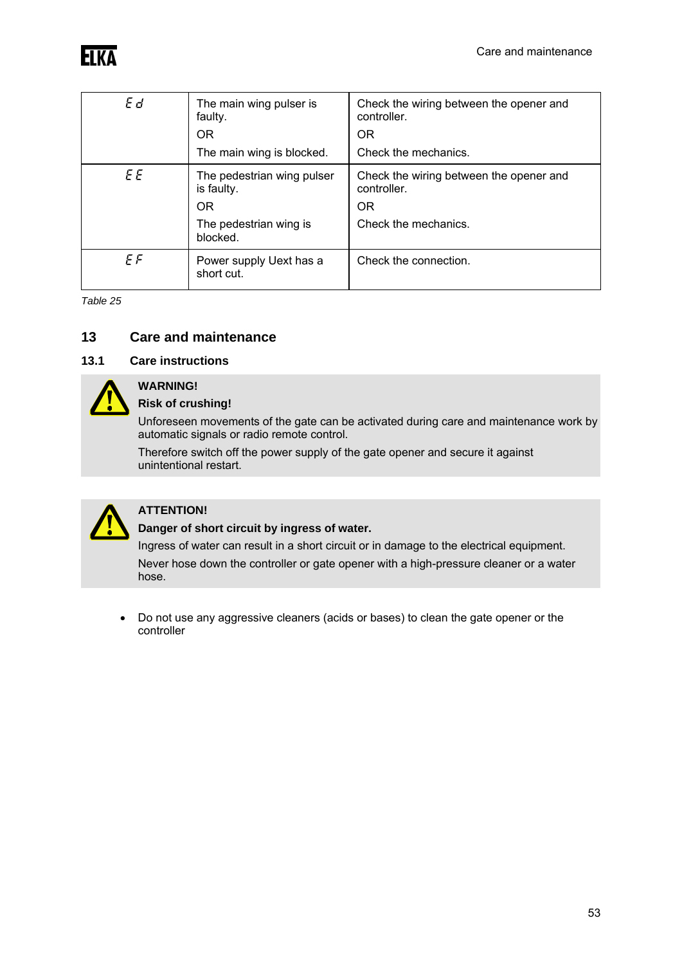| Ed  | The main wing pulser is<br>faulty.                    | Check the wiring between the opener and<br>controller.              |
|-----|-------------------------------------------------------|---------------------------------------------------------------------|
|     | <b>OR</b>                                             | <b>OR</b>                                                           |
|     | The main wing is blocked.                             | Check the mechanics.                                                |
| E E | The pedestrian wing pulser<br>is faulty.<br><b>OR</b> | Check the wiring between the opener and<br>controller.<br><b>OR</b> |
|     | The pedestrian wing is<br>blocked.                    | Check the mechanics.                                                |
| ΕF  | Power supply Uext has a<br>short cut.                 | Check the connection.                                               |

*Table 25* 

### **13 Care and maintenance**

### **13.1 Care instructions**



#### **WARNING! Risk of crushing!**

Unforeseen movements of the gate can be activated during care and maintenance work by automatic signals or radio remote control.

Therefore switch off the power supply of the gate opener and secure it against unintentional restart.



### **ATTENTION!**

#### **Danger of short circuit by ingress of water.**

Ingress of water can result in a short circuit or in damage to the electrical equipment. Never hose down the controller or gate opener with a high-pressure cleaner or a water hose.

 Do not use any aggressive cleaners (acids or bases) to clean the gate opener or the controller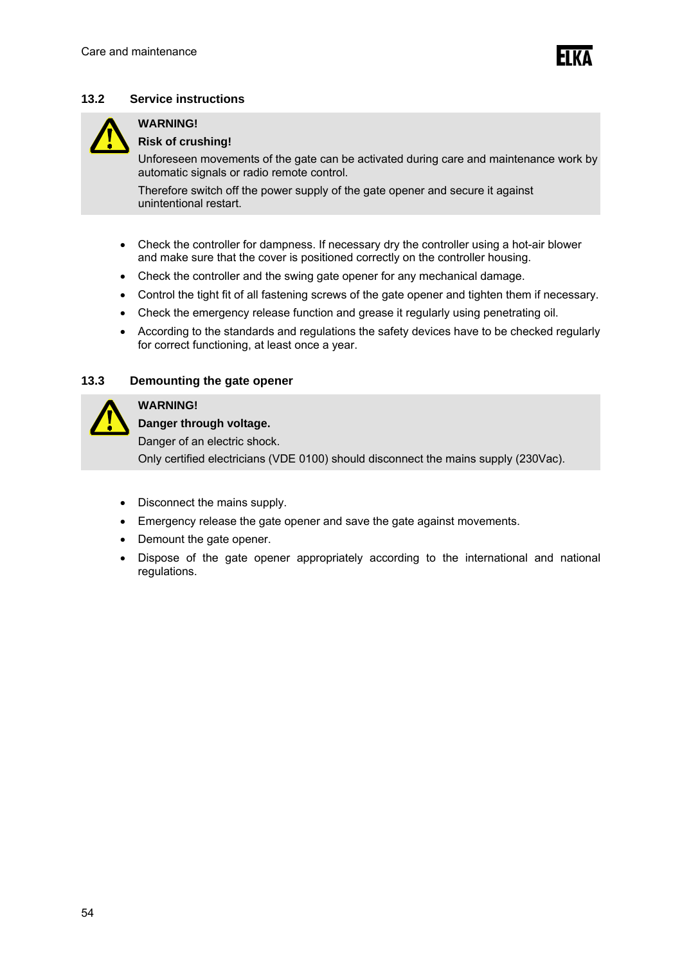#### **13.2 Service instructions**



### **WARNING!**

#### **Risk of crushing!**

Unforeseen movements of the gate can be activated during care and maintenance work by automatic signals or radio remote control.

Therefore switch off the power supply of the gate opener and secure it against unintentional restart.

- Check the controller for dampness. If necessary dry the controller using a hot-air blower and make sure that the cover is positioned correctly on the controller housing.
- Check the controller and the swing gate opener for any mechanical damage.
- Control the tight fit of all fastening screws of the gate opener and tighten them if necessary.
- Check the emergency release function and grease it regularly using penetrating oil.
- According to the standards and regulations the safety devices have to be checked regularly for correct functioning, at least once a year.

#### **13.3 Demounting the gate opener**



#### **WARNING!**

**Danger through voltage.** 

Danger of an electric shock.

Only certified electricians (VDE 0100) should disconnect the mains supply (230Vac).

- Disconnect the mains supply.
- Emergency release the gate opener and save the gate against movements.
- Demount the gate opener.
- Dispose of the gate opener appropriately according to the international and national regulations.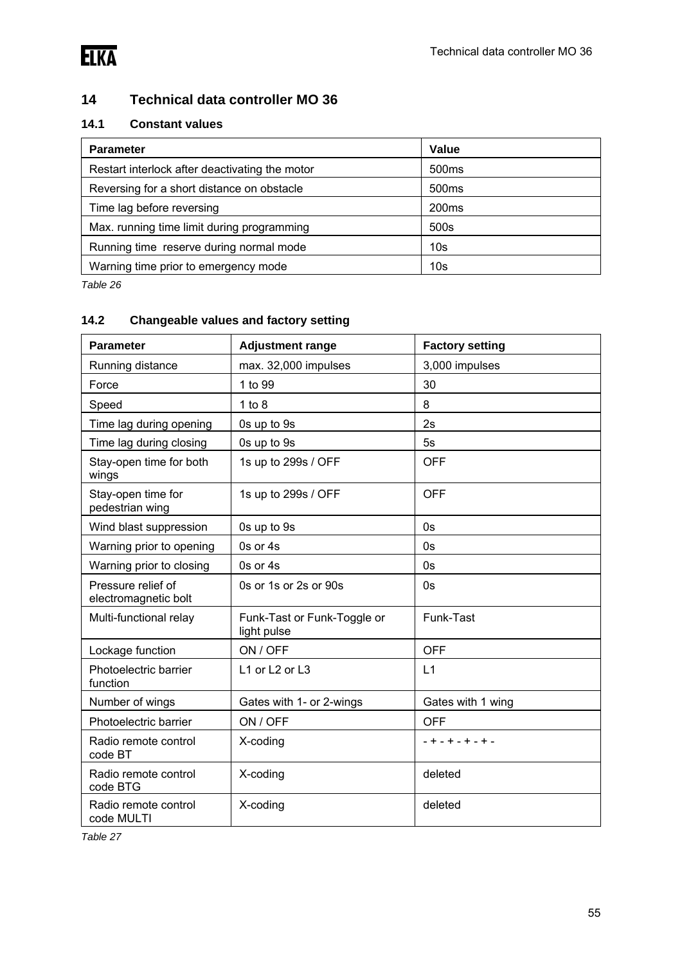

### **14 Technical data controller MO 36**

### **14.1 Constant values**

| <b>Parameter</b>                               | Value             |
|------------------------------------------------|-------------------|
| Restart interlock after deactivating the motor | 500 <sub>ms</sub> |
| Reversing for a short distance on obstacle     | 500 <sub>ms</sub> |
| Time lag before reversing                      | 200 <sub>ms</sub> |
| Max. running time limit during programming     | 500s              |
| Running time reserve during normal mode        | 10 <sub>s</sub>   |
| Warning time prior to emergency mode           | 10 <sub>s</sub>   |

*Table 26* 

### **14.2 Changeable values and factory setting**

| <b>Parameter</b>                           | <b>Adjustment range</b>                    | <b>Factory setting</b> |
|--------------------------------------------|--------------------------------------------|------------------------|
| Running distance                           | max. 32,000 impulses                       | 3,000 impulses         |
| Force                                      | 1 to 99                                    | 30                     |
| Speed                                      | 1 to 8                                     | 8                      |
| Time lag during opening                    | 0s up to 9s                                | 2s                     |
| Time lag during closing                    | 0s up to 9s                                | 5s                     |
| Stay-open time for both<br>wings           | 1s up to 299s / OFF                        | <b>OFF</b>             |
| Stay-open time for<br>pedestrian wing      | 1s up to 299s / OFF                        | <b>OFF</b>             |
| Wind blast suppression                     | 0s up to 9s                                | 0s                     |
| Warning prior to opening                   | 0s or 4s                                   | 0s                     |
| Warning prior to closing                   | 0s or 4s                                   | 0s                     |
| Pressure relief of<br>electromagnetic bolt | 0s or 1s or 2s or 90s                      | 0s                     |
| Multi-functional relay                     | Funk-Tast or Funk-Toggle or<br>light pulse | Funk-Tast              |
| Lockage function                           | ON / OFF                                   | <b>OFF</b>             |
| Photoelectric barrier<br>function          | L1 or L2 or L3                             | L1                     |
| Number of wings                            | Gates with 1- or 2-wings                   | Gates with 1 wing      |
| Photoelectric barrier                      | ON / OFF                                   | <b>OFF</b>             |
| Radio remote control<br>code BT            | X-coding                                   | - + - + - + - + -      |
| Radio remote control<br>code BTG           | X-coding                                   | deleted                |
| Radio remote control<br>code MULTI         | X-coding                                   | deleted                |

*Table 27*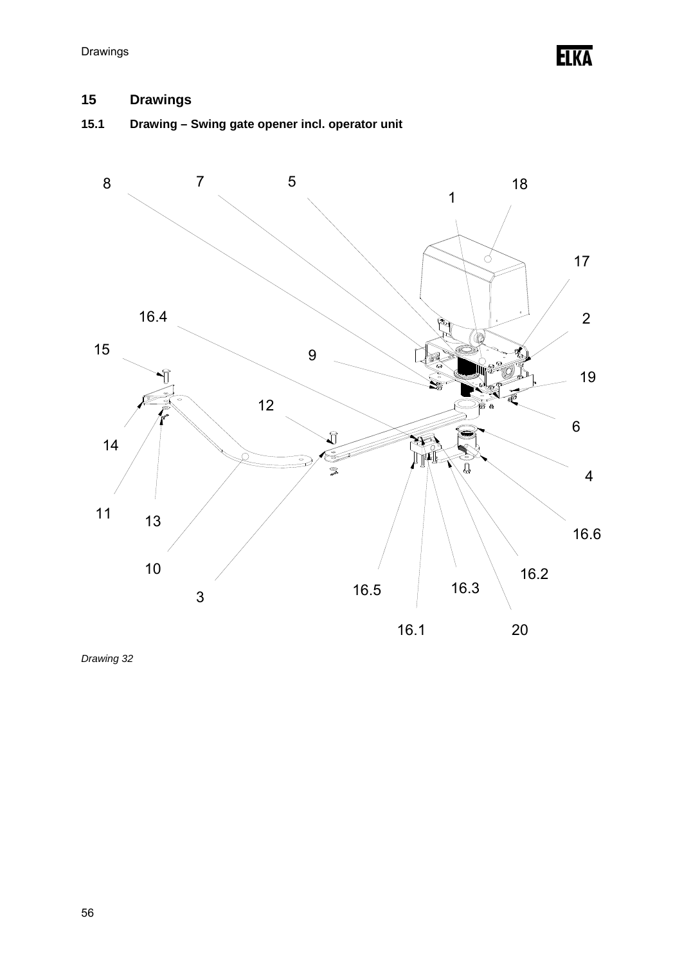Elka

## **15 Drawings**

## **15.1 Drawing – Swing gate opener incl. operator unit**



*Drawing 32*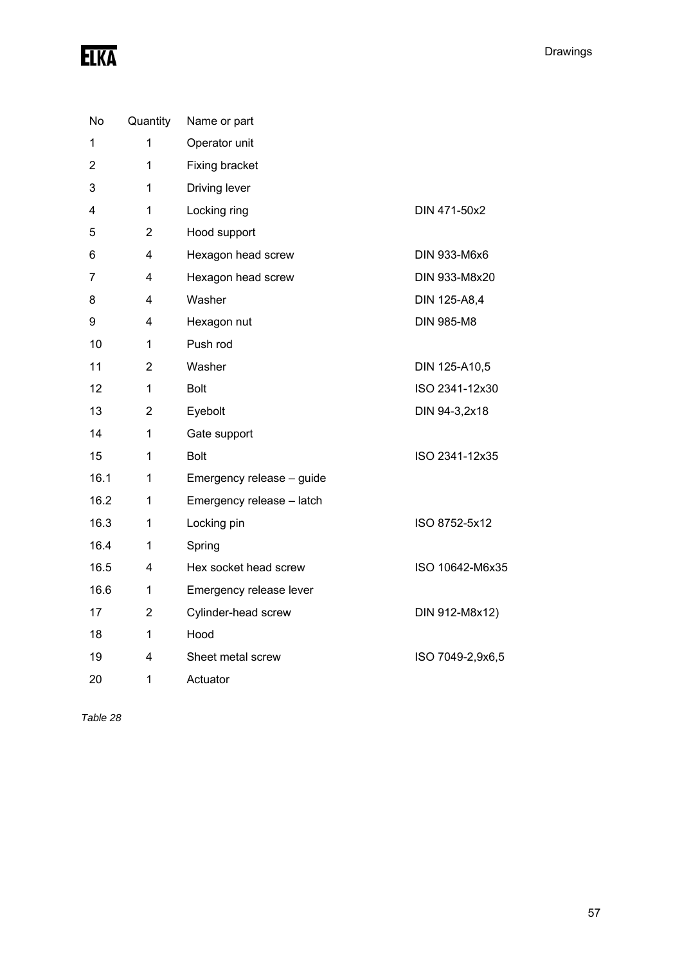| No   | Quantity       | Name or part              |                   |
|------|----------------|---------------------------|-------------------|
| 1    | 1              | Operator unit             |                   |
| 2    | $\mathbf 1$    | Fixing bracket            |                   |
| 3    | 1              | Driving lever             |                   |
| 4    | $\mathbf 1$    | Locking ring              | DIN 471-50x2      |
| 5    | $\overline{2}$ | Hood support              |                   |
| 6    | 4              | Hexagon head screw        | DIN 933-M6x6      |
| 7    | 4              | Hexagon head screw        | DIN 933-M8x20     |
| 8    | 4              | Washer                    | DIN 125-A8,4      |
| 9    | 4              | Hexagon nut               | <b>DIN 985-M8</b> |
| 10   | $\mathbf 1$    | Push rod                  |                   |
| 11   | $\overline{2}$ | Washer                    | DIN 125-A10,5     |
| 12   | $\mathbf{1}$   | <b>Bolt</b>               | ISO 2341-12x30    |
| 13   | $\overline{c}$ | Eyebolt                   | DIN 94-3,2x18     |
| 14   | 1              | Gate support              |                   |
| 15   | 1              | <b>Bolt</b>               | ISO 2341-12x35    |
| 16.1 | $\mathbf 1$    | Emergency release - guide |                   |
| 16.2 | 1              | Emergency release - latch |                   |
| 16.3 | 1              | Locking pin               | ISO 8752-5x12     |
| 16.4 | $\mathbf 1$    | Spring                    |                   |
| 16.5 | 4              | Hex socket head screw     | ISO 10642-M6x35   |
| 16.6 | 1              | Emergency release lever   |                   |
| 17   | 2              | Cylinder-head screw       | DIN 912-M8x12)    |
| 18   | 1              | Hood                      |                   |
| 19   | 4              | Sheet metal screw         | ISO 7049-2,9x6,5  |
| 20   | 1              | Actuator                  |                   |

*Table 28*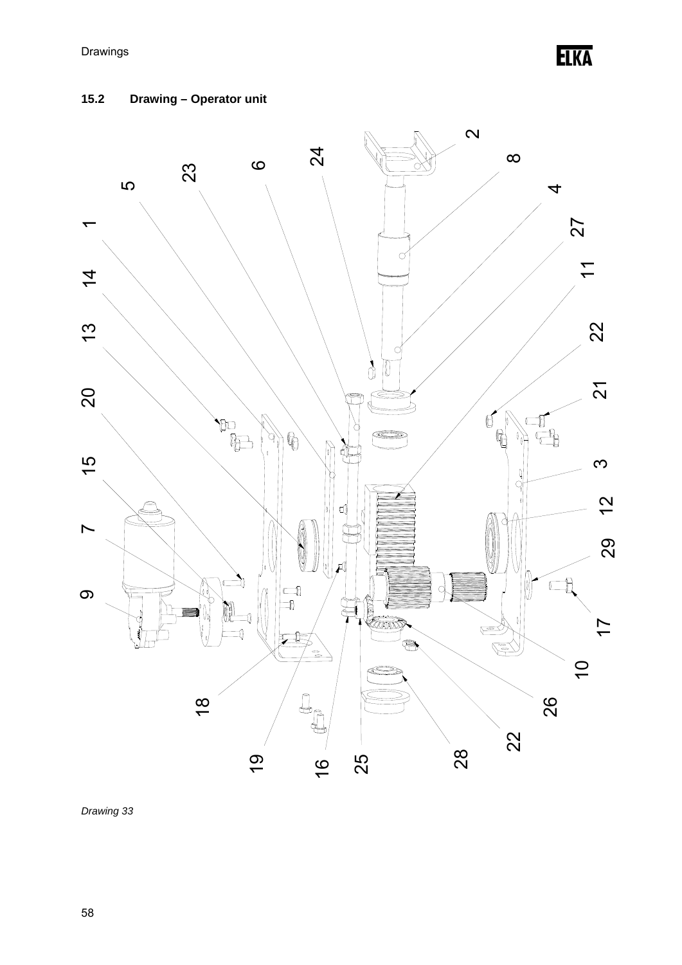**ELKA** 

### **15.2 Drawing – Operator unit**



*Drawing 33*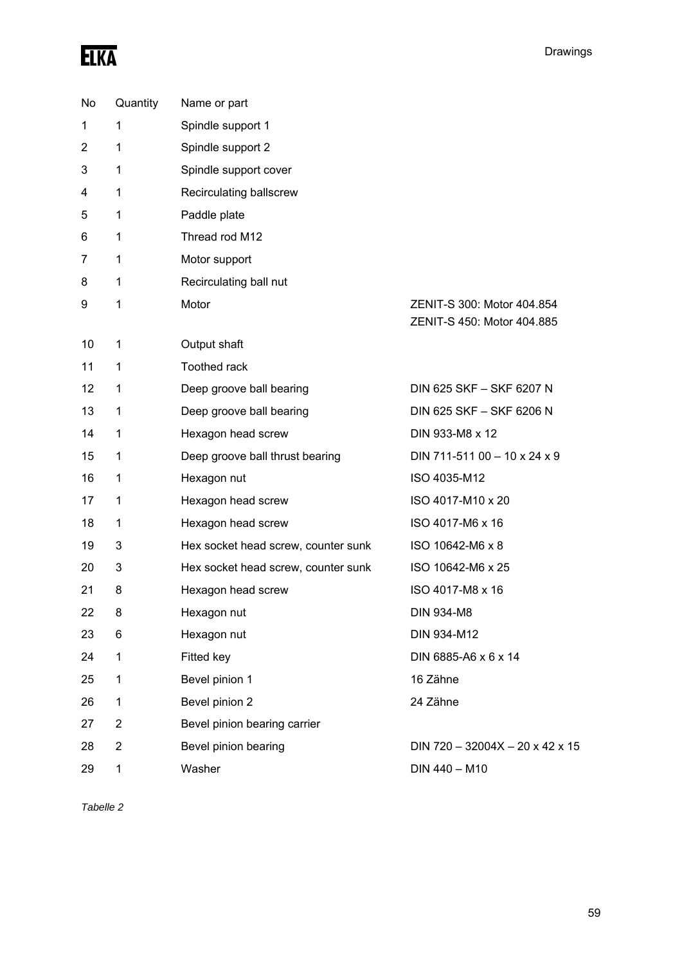# ELKA

| No             | Quantity       | Name or part                        |                                                          |
|----------------|----------------|-------------------------------------|----------------------------------------------------------|
| 1              | 1              | Spindle support 1                   |                                                          |
| $\overline{2}$ | 1              | Spindle support 2                   |                                                          |
| 3              | 1              | Spindle support cover               |                                                          |
| 4              | 1              | Recirculating ballscrew             |                                                          |
| 5              | 1              | Paddle plate                        |                                                          |
| 6              | 1              | Thread rod M12                      |                                                          |
| 7              | 1              | Motor support                       |                                                          |
| 8              | 1              | Recirculating ball nut              |                                                          |
| 9              | 1              | Motor                               | ZENIT-S 300: Motor 404.854<br>ZENIT-S 450: Motor 404.885 |
| 10             | 1              | Output shaft                        |                                                          |
| 11             | 1              | Toothed rack                        |                                                          |
| 12             | 1              | Deep groove ball bearing            | DIN 625 SKF - SKF 6207 N                                 |
| 13             | 1              | Deep groove ball bearing            | DIN 625 SKF - SKF 6206 N                                 |
| 14             | 1              | Hexagon head screw                  | DIN 933-M8 x 12                                          |
| 15             | 1              | Deep groove ball thrust bearing     | DIN 711-511 00 - 10 x 24 x 9                             |
| 16             | 1              | Hexagon nut                         | ISO 4035-M12                                             |
| 17             | 1              | Hexagon head screw                  | ISO 4017-M10 x 20                                        |
| 18             | 1              | Hexagon head screw                  | ISO 4017-M6 x 16                                         |
| 19             | 3              | Hex socket head screw, counter sunk | ISO 10642-M6 x 8                                         |
| 20             | 3              | Hex socket head screw, counter sunk | ISO 10642-M6 x 25                                        |
| 21             | 8              | Hexagon head screw                  | ISO 4017-M8 x 16                                         |
| 22             | 8              | Hexagon nut                         | <b>DIN 934-M8</b>                                        |
| 23             | 6              | Hexagon nut                         | DIN 934-M12                                              |
| 24             | 1              | Fitted key                          | DIN 6885-A6 x 6 x 14                                     |
| 25             | 1              | Bevel pinion 1                      | 16 Zähne                                                 |
| 26             | 1              | Bevel pinion 2                      | 24 Zähne                                                 |
| 27             | $\overline{c}$ | Bevel pinion bearing carrier        |                                                          |
| 28             | $\overline{2}$ | Bevel pinion bearing                | DIN 720 - 32004X - 20 x 42 x 15                          |
| 29             | 1              | Washer                              | DIN 440 - M10                                            |

*Tabelle 2*